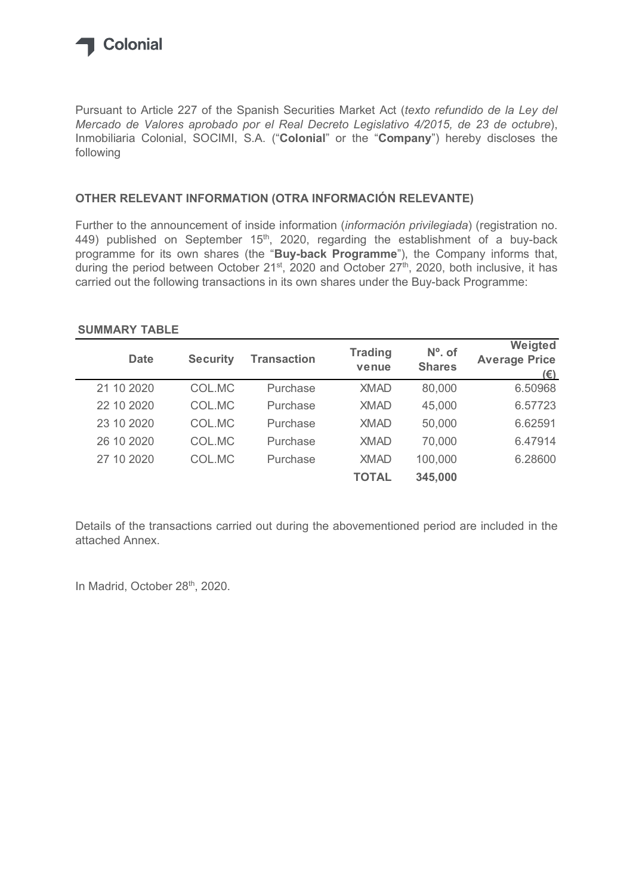

## OTHER RELEVANT INFORMATION (OTRA INFORMACIÓN RELEVANTE)

## SUMMARY TABLE

| Mercado de Valores aprobado por el Real Decreto Legislativo 4/2015, de 23 de octubre),<br>Inmobiliaria Colonial, SOCIMI, S.A. ("Colonial" or the "Company") hereby discloses the<br>following                                                                                                                                               |                 |                    |                |               |                                 |
|---------------------------------------------------------------------------------------------------------------------------------------------------------------------------------------------------------------------------------------------------------------------------------------------------------------------------------------------|-----------------|--------------------|----------------|---------------|---------------------------------|
| OTHER RELEVANT INFORMATION (OTRA INFORMACIÓN RELEVANTE)                                                                                                                                                                                                                                                                                     |                 |                    |                |               |                                 |
| Further to the announcement of inside information (información privilegiada) (registration no.<br>449) published on September $15th$ , 2020, regarding the establishment of a buy-back                                                                                                                                                      |                 |                    |                |               |                                 |
| <b>Date</b>                                                                                                                                                                                                                                                                                                                                 | <b>Security</b> | <b>Transaction</b> | <b>Trading</b> | $No$ . of     | Weigted<br><b>Average Price</b> |
|                                                                                                                                                                                                                                                                                                                                             |                 |                    | venue          | <b>Shares</b> | $(\epsilon)$                    |
| programme for its own shares (the "Buy-back Programme"), the Company informs that,<br>during the period between October 21 <sup>st</sup> , 2020 and October 27 <sup>th</sup> , 2020, both inclusive, it has<br>carried out the following transactions in its own shares under the Buy-back Programme:<br><b>SUMMARY TABLE</b><br>21 10 2020 | COL.MC          | Purchase           | <b>XMAD</b>    | 80,000        | 6.50968                         |
| 22 10 2020                                                                                                                                                                                                                                                                                                                                  | COL.MC          | Purchase           | <b>XMAD</b>    | 45,000        | 6.57723                         |
| 23 10 2020                                                                                                                                                                                                                                                                                                                                  | COL.MC          | Purchase           | <b>XMAD</b>    | 50,000        | 6.62591                         |
| 26 10 2020                                                                                                                                                                                                                                                                                                                                  | COL.MC          | Purchase           | <b>XMAD</b>    | 70,000        | 6.47914                         |
| 27 10 2020                                                                                                                                                                                                                                                                                                                                  | COL.MC          | Purchase           | <b>XMAD</b>    | 100,000       | 6.28600                         |

Details of the transactions carried out during the abovementioned period are included in the attached Annex.

In Madrid, October 28<sup>th</sup>, 2020.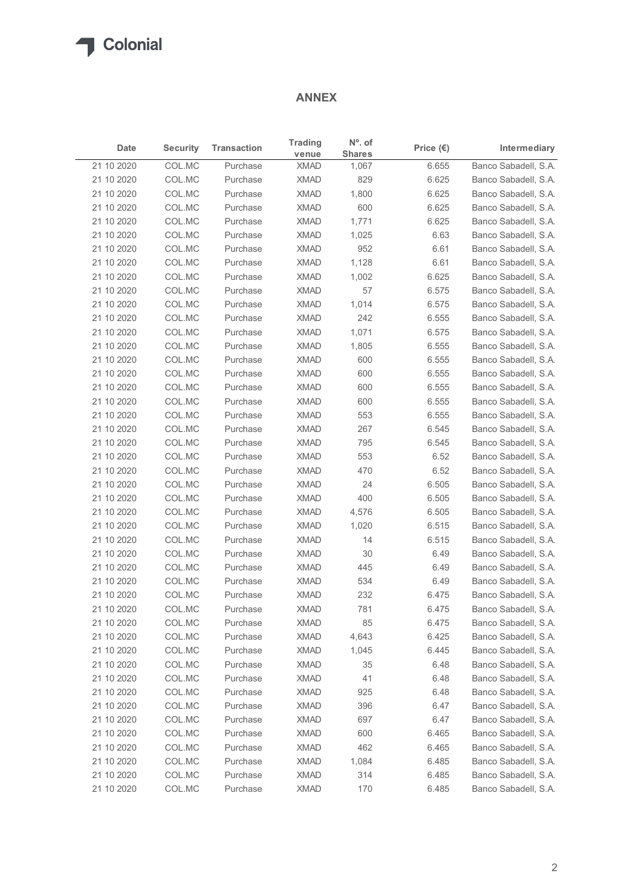## ANNEX

| $N^{\circ}$ . of<br><b>Trading</b><br><b>Security</b><br><b>Transaction</b><br>Intermediary<br>Date<br>Price $(\epsilon)$<br><b>Shares</b><br>venue<br>21 10 2020<br>COL.MC<br><b>XMAD</b><br>Purchase<br>1,067<br>6.655<br>COL.MC<br><b>XMAD</b><br>829<br>6.625<br>Banco Sabadell, S.A.<br>21 10 2020<br>Purchase<br>COL.MC<br><b>XMAD</b><br>1,800<br>6.625<br>Banco Sabadell, S.A.<br>21 10 2020<br>Purchase<br>COL.MC<br><b>XMAD</b><br>600<br>21 10 2020<br>Purchase<br>6.625<br>Banco Sabadell, S.A.<br>21 10 2020<br>COL.MC<br><b>XMAD</b><br>1,771<br>Banco Sabadell, S.A.<br>Purchase<br>6.625<br>21 10 2020<br>COL.MC<br><b>XMAD</b><br>Banco Sabadell, S.A.<br>Purchase<br>1,025<br>6.63<br>21 10 2020<br>COL.MC<br><b>XMAD</b><br>Purchase<br>952<br>6.61<br>Banco Sabadell, S.A.<br>COL.MC<br>Banco Sabadell, S.A.<br>21 10 2020<br>Purchase<br><b>XMAD</b><br>1,128<br>6.61<br>21 10 2020<br>COL.MC<br><b>XMAD</b><br>Banco Sabadell, S.A.<br>1,002<br>6.625<br>Purchase<br>57<br>21 10 2020<br>COL.MC<br>Purchase<br><b>XMAD</b><br>6.575<br>Banco Sabadell, S.A.<br>COL.MC<br>6.575<br>21 10 2020<br>Purchase<br><b>XMAD</b><br>1,014<br>Banco Sabadell, S.A.<br>21 10 2020<br>COL.MC<br><b>XMAD</b><br>242<br>6.555<br>Banco Sabadell, S.A.<br>Purchase<br>COL.MC<br><b>XMAD</b><br>1,071<br>6.575<br>21 10 2020<br>Purchase<br>Banco Sabadell, S.A.<br>21 10 2020<br>COL.MC<br>XMAD<br>1,805<br>6.555<br>Purchase<br>21 10 2020<br>COL.MC<br><b>XMAD</b><br>600<br>6.555<br>Purchase<br>6.555<br>21 10 2020<br>COL.MC<br>Purchase<br><b>XMAD</b><br>600<br>COL.MC<br><b>XMAD</b><br>600<br>6.555<br>21 10 2020<br>Purchase<br>21 10 2020<br>COL.MC<br><b>XMAD</b><br>600<br>6.555<br>Purchase<br>COL.MC<br>Purchase<br><b>XMAD</b><br>553<br>6.555<br>21 10 2020<br>COL.MC<br>6.545<br>21 10 2020<br>Purchase<br><b>XMAD</b><br>267<br>795<br>6.545<br>21 10 2020<br>COL.MC<br>Purchase<br><b>XMAD</b><br><b>XMAD</b><br>553<br>6.52<br>21 10 2020<br>COL.MC<br>Purchase<br>COL.MC<br><b>XMAD</b><br>470<br>6.52<br>21 10 2020<br>Purchase<br>21 10 2020<br>COL.MC<br><b>XMAD</b><br>24<br>6.505<br>Purchase<br>400<br>6.505<br>21 10 2020<br>COL.MC<br>Purchase<br><b>XMAD</b><br>6.505<br>21 10 2020<br>COL.MC<br>Purchase<br><b>XMAD</b><br>4,576<br>6.515<br>21 10 2020<br>COL.MC<br><b>XMAD</b><br>1,020<br>Purchase<br>COL.MC<br><b>XMAD</b><br>6.515<br>21 10 2020<br>Purchase<br>14<br>21 10 2020<br>COL.MC<br>Purchase<br><b>XMAD</b><br>30<br>6.49<br><b>XMAD</b><br>21 10 2020<br>COL.MC<br>Purchase<br>445<br>6.49<br>COL.MC<br>Purchase<br><b>XMAD</b><br>534<br>21 10 2020<br>6.49<br>COL.MC<br><b>XMAD</b><br>232<br>21 10 2020<br>Purchase<br>6.475<br>6.475<br>21 10 2020<br>COL.MC<br>Purchase<br><b>XMAD</b><br>781<br><b>XMAD</b><br>85<br>6.475<br>21 10 2020<br>COL.MC<br>Purchase<br>COL.MC<br>4,643<br>6.425<br>21 10 2020<br>Purchase<br><b>XMAD</b><br>21 10 2020<br>COL.MC<br>XMAD<br>6.445<br>Purchase<br>1,045<br>21 10 2020<br>COL.MC<br>Purchase<br><b>XMAD</b><br>35<br>6.48<br>41<br>21 10 2020<br>COL.MC<br>Purchase<br><b>XMAD</b><br>6.48<br>21 10 2020<br>COL.MC<br>Purchase<br><b>XMAD</b><br>925<br>6.48<br><b>XMAD</b><br>396<br>21 10 2020<br>COL.MC<br>Purchase<br>6.47<br>21 10 2020<br>COL.MC<br>Purchase<br><b>XMAD</b><br>697<br>6.47<br>Purchase<br><b>XMAD</b><br>21 10 2020<br>COL.MC<br>600<br>6.465<br>462<br>6.465<br>21 10 2020<br>COL.MC<br>Purchase<br><b>XMAD</b><br>6.485<br>21 10 2020<br>COL.MC<br>Purchase<br><b>XMAD</b><br>1,084<br>314<br>6.485<br>21 10 2020<br>COL.MC<br>Purchase<br><b>XMAD</b><br>21 10 2020 |        |          | <b>ANNEX</b> |     |       |                      |
|----------------------------------------------------------------------------------------------------------------------------------------------------------------------------------------------------------------------------------------------------------------------------------------------------------------------------------------------------------------------------------------------------------------------------------------------------------------------------------------------------------------------------------------------------------------------------------------------------------------------------------------------------------------------------------------------------------------------------------------------------------------------------------------------------------------------------------------------------------------------------------------------------------------------------------------------------------------------------------------------------------------------------------------------------------------------------------------------------------------------------------------------------------------------------------------------------------------------------------------------------------------------------------------------------------------------------------------------------------------------------------------------------------------------------------------------------------------------------------------------------------------------------------------------------------------------------------------------------------------------------------------------------------------------------------------------------------------------------------------------------------------------------------------------------------------------------------------------------------------------------------------------------------------------------------------------------------------------------------------------------------------------------------------------------------------------------------------------------------------------------------------------------------------------------------------------------------------------------------------------------------------------------------------------------------------------------------------------------------------------------------------------------------------------------------------------------------------------------------------------------------------------------------------------------------------------------------------------------------------------------------------------------------------------------------------------------------------------------------------------------------------------------------------------------------------------------------------------------------------------------------------------------------------------------------------------------------------------------------------------------------------------------------------------------------------------------------------------------------------------------------------------------------------------------------------------------------------------------------------------------------------------------------------------------------------------------------------------------------------------------------------------------------------------------------------------------------------------------------------------------------------------------------------------------------------------------------------------------|--------|----------|--------------|-----|-------|----------------------|
| Banco Sabadell, S.A.<br>Banco Sabadell, S.A.<br>Banco Sabadell, S.A.<br>Banco Sabadell, S.A.<br>Banco Sabadell, S.A.<br>Banco Sabadell, S.A.<br>Banco Sabadell, S.A.<br>Banco Sabadell, S.A.<br>Banco Sabadell, S.A.<br>Banco Sabadell, S.A.<br>Banco Sabadell, S.A.<br>Banco Sabadell, S.A.<br>Banco Sabadell, S.A.<br>Banco Sabadell, S.A.<br>Banco Sabadell, S.A.<br>Banco Sabadell, S.A.<br>Banco Sabadell, S.A.<br>Banco Sabadell, S.A.<br>Banco Sabadell, S.A.<br>Banco Sabadell, S.A.<br>Banco Sabadell, S.A.<br>Banco Sabadell, S.A.<br>Banco Sabadell, S.A.<br>Banco Sabadell, S.A.<br>Banco Sabadell, S.A.<br>Banco Sabadell, S.A.<br>Banco Sabadell, S.A.<br>Banco Sabadell, S.A.<br>Banco Sabadell, S.A.<br>Banco Sabadell, S.A.<br>Banco Sabadell, S.A.<br>Banco Sabadell, S.A.<br>Banco Sabadell, S.A.                                                                                                                                                                                                                                                                                                                                                                                                                                                                                                                                                                                                                                                                                                                                                                                                                                                                                                                                                                                                                                                                                                                                                                                                                                                                                                                                                                                                                                                                                                                                                                                                                                                                                                                                                                                                                                                                                                                                                                                                                                                                                                                                                                                                                                                                                                                                                                                                                                                                                                                                                                                                                                                                                                                                                                               |        |          |              |     |       |                      |
|                                                                                                                                                                                                                                                                                                                                                                                                                                                                                                                                                                                                                                                                                                                                                                                                                                                                                                                                                                                                                                                                                                                                                                                                                                                                                                                                                                                                                                                                                                                                                                                                                                                                                                                                                                                                                                                                                                                                                                                                                                                                                                                                                                                                                                                                                                                                                                                                                                                                                                                                                                                                                                                                                                                                                                                                                                                                                                                                                                                                                                                                                                                                                                                                                                                                                                                                                                                                                                                                                                                                                                                                    |        |          |              |     |       |                      |
|                                                                                                                                                                                                                                                                                                                                                                                                                                                                                                                                                                                                                                                                                                                                                                                                                                                                                                                                                                                                                                                                                                                                                                                                                                                                                                                                                                                                                                                                                                                                                                                                                                                                                                                                                                                                                                                                                                                                                                                                                                                                                                                                                                                                                                                                                                                                                                                                                                                                                                                                                                                                                                                                                                                                                                                                                                                                                                                                                                                                                                                                                                                                                                                                                                                                                                                                                                                                                                                                                                                                                                                                    |        |          |              |     |       |                      |
|                                                                                                                                                                                                                                                                                                                                                                                                                                                                                                                                                                                                                                                                                                                                                                                                                                                                                                                                                                                                                                                                                                                                                                                                                                                                                                                                                                                                                                                                                                                                                                                                                                                                                                                                                                                                                                                                                                                                                                                                                                                                                                                                                                                                                                                                                                                                                                                                                                                                                                                                                                                                                                                                                                                                                                                                                                                                                                                                                                                                                                                                                                                                                                                                                                                                                                                                                                                                                                                                                                                                                                                                    |        |          |              |     |       |                      |
|                                                                                                                                                                                                                                                                                                                                                                                                                                                                                                                                                                                                                                                                                                                                                                                                                                                                                                                                                                                                                                                                                                                                                                                                                                                                                                                                                                                                                                                                                                                                                                                                                                                                                                                                                                                                                                                                                                                                                                                                                                                                                                                                                                                                                                                                                                                                                                                                                                                                                                                                                                                                                                                                                                                                                                                                                                                                                                                                                                                                                                                                                                                                                                                                                                                                                                                                                                                                                                                                                                                                                                                                    |        |          |              |     |       |                      |
|                                                                                                                                                                                                                                                                                                                                                                                                                                                                                                                                                                                                                                                                                                                                                                                                                                                                                                                                                                                                                                                                                                                                                                                                                                                                                                                                                                                                                                                                                                                                                                                                                                                                                                                                                                                                                                                                                                                                                                                                                                                                                                                                                                                                                                                                                                                                                                                                                                                                                                                                                                                                                                                                                                                                                                                                                                                                                                                                                                                                                                                                                                                                                                                                                                                                                                                                                                                                                                                                                                                                                                                                    |        |          |              |     |       |                      |
|                                                                                                                                                                                                                                                                                                                                                                                                                                                                                                                                                                                                                                                                                                                                                                                                                                                                                                                                                                                                                                                                                                                                                                                                                                                                                                                                                                                                                                                                                                                                                                                                                                                                                                                                                                                                                                                                                                                                                                                                                                                                                                                                                                                                                                                                                                                                                                                                                                                                                                                                                                                                                                                                                                                                                                                                                                                                                                                                                                                                                                                                                                                                                                                                                                                                                                                                                                                                                                                                                                                                                                                                    |        |          |              |     |       |                      |
|                                                                                                                                                                                                                                                                                                                                                                                                                                                                                                                                                                                                                                                                                                                                                                                                                                                                                                                                                                                                                                                                                                                                                                                                                                                                                                                                                                                                                                                                                                                                                                                                                                                                                                                                                                                                                                                                                                                                                                                                                                                                                                                                                                                                                                                                                                                                                                                                                                                                                                                                                                                                                                                                                                                                                                                                                                                                                                                                                                                                                                                                                                                                                                                                                                                                                                                                                                                                                                                                                                                                                                                                    |        |          |              |     |       |                      |
|                                                                                                                                                                                                                                                                                                                                                                                                                                                                                                                                                                                                                                                                                                                                                                                                                                                                                                                                                                                                                                                                                                                                                                                                                                                                                                                                                                                                                                                                                                                                                                                                                                                                                                                                                                                                                                                                                                                                                                                                                                                                                                                                                                                                                                                                                                                                                                                                                                                                                                                                                                                                                                                                                                                                                                                                                                                                                                                                                                                                                                                                                                                                                                                                                                                                                                                                                                                                                                                                                                                                                                                                    |        |          |              |     |       |                      |
|                                                                                                                                                                                                                                                                                                                                                                                                                                                                                                                                                                                                                                                                                                                                                                                                                                                                                                                                                                                                                                                                                                                                                                                                                                                                                                                                                                                                                                                                                                                                                                                                                                                                                                                                                                                                                                                                                                                                                                                                                                                                                                                                                                                                                                                                                                                                                                                                                                                                                                                                                                                                                                                                                                                                                                                                                                                                                                                                                                                                                                                                                                                                                                                                                                                                                                                                                                                                                                                                                                                                                                                                    |        |          |              |     |       |                      |
|                                                                                                                                                                                                                                                                                                                                                                                                                                                                                                                                                                                                                                                                                                                                                                                                                                                                                                                                                                                                                                                                                                                                                                                                                                                                                                                                                                                                                                                                                                                                                                                                                                                                                                                                                                                                                                                                                                                                                                                                                                                                                                                                                                                                                                                                                                                                                                                                                                                                                                                                                                                                                                                                                                                                                                                                                                                                                                                                                                                                                                                                                                                                                                                                                                                                                                                                                                                                                                                                                                                                                                                                    |        |          |              |     |       |                      |
|                                                                                                                                                                                                                                                                                                                                                                                                                                                                                                                                                                                                                                                                                                                                                                                                                                                                                                                                                                                                                                                                                                                                                                                                                                                                                                                                                                                                                                                                                                                                                                                                                                                                                                                                                                                                                                                                                                                                                                                                                                                                                                                                                                                                                                                                                                                                                                                                                                                                                                                                                                                                                                                                                                                                                                                                                                                                                                                                                                                                                                                                                                                                                                                                                                                                                                                                                                                                                                                                                                                                                                                                    |        |          |              |     |       |                      |
|                                                                                                                                                                                                                                                                                                                                                                                                                                                                                                                                                                                                                                                                                                                                                                                                                                                                                                                                                                                                                                                                                                                                                                                                                                                                                                                                                                                                                                                                                                                                                                                                                                                                                                                                                                                                                                                                                                                                                                                                                                                                                                                                                                                                                                                                                                                                                                                                                                                                                                                                                                                                                                                                                                                                                                                                                                                                                                                                                                                                                                                                                                                                                                                                                                                                                                                                                                                                                                                                                                                                                                                                    |        |          |              |     |       |                      |
|                                                                                                                                                                                                                                                                                                                                                                                                                                                                                                                                                                                                                                                                                                                                                                                                                                                                                                                                                                                                                                                                                                                                                                                                                                                                                                                                                                                                                                                                                                                                                                                                                                                                                                                                                                                                                                                                                                                                                                                                                                                                                                                                                                                                                                                                                                                                                                                                                                                                                                                                                                                                                                                                                                                                                                                                                                                                                                                                                                                                                                                                                                                                                                                                                                                                                                                                                                                                                                                                                                                                                                                                    |        |          |              |     |       |                      |
|                                                                                                                                                                                                                                                                                                                                                                                                                                                                                                                                                                                                                                                                                                                                                                                                                                                                                                                                                                                                                                                                                                                                                                                                                                                                                                                                                                                                                                                                                                                                                                                                                                                                                                                                                                                                                                                                                                                                                                                                                                                                                                                                                                                                                                                                                                                                                                                                                                                                                                                                                                                                                                                                                                                                                                                                                                                                                                                                                                                                                                                                                                                                                                                                                                                                                                                                                                                                                                                                                                                                                                                                    |        |          |              |     |       |                      |
|                                                                                                                                                                                                                                                                                                                                                                                                                                                                                                                                                                                                                                                                                                                                                                                                                                                                                                                                                                                                                                                                                                                                                                                                                                                                                                                                                                                                                                                                                                                                                                                                                                                                                                                                                                                                                                                                                                                                                                                                                                                                                                                                                                                                                                                                                                                                                                                                                                                                                                                                                                                                                                                                                                                                                                                                                                                                                                                                                                                                                                                                                                                                                                                                                                                                                                                                                                                                                                                                                                                                                                                                    |        |          |              |     |       |                      |
|                                                                                                                                                                                                                                                                                                                                                                                                                                                                                                                                                                                                                                                                                                                                                                                                                                                                                                                                                                                                                                                                                                                                                                                                                                                                                                                                                                                                                                                                                                                                                                                                                                                                                                                                                                                                                                                                                                                                                                                                                                                                                                                                                                                                                                                                                                                                                                                                                                                                                                                                                                                                                                                                                                                                                                                                                                                                                                                                                                                                                                                                                                                                                                                                                                                                                                                                                                                                                                                                                                                                                                                                    |        |          |              |     |       |                      |
|                                                                                                                                                                                                                                                                                                                                                                                                                                                                                                                                                                                                                                                                                                                                                                                                                                                                                                                                                                                                                                                                                                                                                                                                                                                                                                                                                                                                                                                                                                                                                                                                                                                                                                                                                                                                                                                                                                                                                                                                                                                                                                                                                                                                                                                                                                                                                                                                                                                                                                                                                                                                                                                                                                                                                                                                                                                                                                                                                                                                                                                                                                                                                                                                                                                                                                                                                                                                                                                                                                                                                                                                    |        |          |              |     |       |                      |
|                                                                                                                                                                                                                                                                                                                                                                                                                                                                                                                                                                                                                                                                                                                                                                                                                                                                                                                                                                                                                                                                                                                                                                                                                                                                                                                                                                                                                                                                                                                                                                                                                                                                                                                                                                                                                                                                                                                                                                                                                                                                                                                                                                                                                                                                                                                                                                                                                                                                                                                                                                                                                                                                                                                                                                                                                                                                                                                                                                                                                                                                                                                                                                                                                                                                                                                                                                                                                                                                                                                                                                                                    |        |          |              |     |       |                      |
|                                                                                                                                                                                                                                                                                                                                                                                                                                                                                                                                                                                                                                                                                                                                                                                                                                                                                                                                                                                                                                                                                                                                                                                                                                                                                                                                                                                                                                                                                                                                                                                                                                                                                                                                                                                                                                                                                                                                                                                                                                                                                                                                                                                                                                                                                                                                                                                                                                                                                                                                                                                                                                                                                                                                                                                                                                                                                                                                                                                                                                                                                                                                                                                                                                                                                                                                                                                                                                                                                                                                                                                                    |        |          |              |     |       |                      |
|                                                                                                                                                                                                                                                                                                                                                                                                                                                                                                                                                                                                                                                                                                                                                                                                                                                                                                                                                                                                                                                                                                                                                                                                                                                                                                                                                                                                                                                                                                                                                                                                                                                                                                                                                                                                                                                                                                                                                                                                                                                                                                                                                                                                                                                                                                                                                                                                                                                                                                                                                                                                                                                                                                                                                                                                                                                                                                                                                                                                                                                                                                                                                                                                                                                                                                                                                                                                                                                                                                                                                                                                    |        |          |              |     |       |                      |
|                                                                                                                                                                                                                                                                                                                                                                                                                                                                                                                                                                                                                                                                                                                                                                                                                                                                                                                                                                                                                                                                                                                                                                                                                                                                                                                                                                                                                                                                                                                                                                                                                                                                                                                                                                                                                                                                                                                                                                                                                                                                                                                                                                                                                                                                                                                                                                                                                                                                                                                                                                                                                                                                                                                                                                                                                                                                                                                                                                                                                                                                                                                                                                                                                                                                                                                                                                                                                                                                                                                                                                                                    |        |          |              |     |       |                      |
|                                                                                                                                                                                                                                                                                                                                                                                                                                                                                                                                                                                                                                                                                                                                                                                                                                                                                                                                                                                                                                                                                                                                                                                                                                                                                                                                                                                                                                                                                                                                                                                                                                                                                                                                                                                                                                                                                                                                                                                                                                                                                                                                                                                                                                                                                                                                                                                                                                                                                                                                                                                                                                                                                                                                                                                                                                                                                                                                                                                                                                                                                                                                                                                                                                                                                                                                                                                                                                                                                                                                                                                                    |        |          |              |     |       |                      |
|                                                                                                                                                                                                                                                                                                                                                                                                                                                                                                                                                                                                                                                                                                                                                                                                                                                                                                                                                                                                                                                                                                                                                                                                                                                                                                                                                                                                                                                                                                                                                                                                                                                                                                                                                                                                                                                                                                                                                                                                                                                                                                                                                                                                                                                                                                                                                                                                                                                                                                                                                                                                                                                                                                                                                                                                                                                                                                                                                                                                                                                                                                                                                                                                                                                                                                                                                                                                                                                                                                                                                                                                    |        |          |              |     |       |                      |
|                                                                                                                                                                                                                                                                                                                                                                                                                                                                                                                                                                                                                                                                                                                                                                                                                                                                                                                                                                                                                                                                                                                                                                                                                                                                                                                                                                                                                                                                                                                                                                                                                                                                                                                                                                                                                                                                                                                                                                                                                                                                                                                                                                                                                                                                                                                                                                                                                                                                                                                                                                                                                                                                                                                                                                                                                                                                                                                                                                                                                                                                                                                                                                                                                                                                                                                                                                                                                                                                                                                                                                                                    |        |          |              |     |       |                      |
|                                                                                                                                                                                                                                                                                                                                                                                                                                                                                                                                                                                                                                                                                                                                                                                                                                                                                                                                                                                                                                                                                                                                                                                                                                                                                                                                                                                                                                                                                                                                                                                                                                                                                                                                                                                                                                                                                                                                                                                                                                                                                                                                                                                                                                                                                                                                                                                                                                                                                                                                                                                                                                                                                                                                                                                                                                                                                                                                                                                                                                                                                                                                                                                                                                                                                                                                                                                                                                                                                                                                                                                                    |        |          |              |     |       |                      |
|                                                                                                                                                                                                                                                                                                                                                                                                                                                                                                                                                                                                                                                                                                                                                                                                                                                                                                                                                                                                                                                                                                                                                                                                                                                                                                                                                                                                                                                                                                                                                                                                                                                                                                                                                                                                                                                                                                                                                                                                                                                                                                                                                                                                                                                                                                                                                                                                                                                                                                                                                                                                                                                                                                                                                                                                                                                                                                                                                                                                                                                                                                                                                                                                                                                                                                                                                                                                                                                                                                                                                                                                    |        |          |              |     |       |                      |
|                                                                                                                                                                                                                                                                                                                                                                                                                                                                                                                                                                                                                                                                                                                                                                                                                                                                                                                                                                                                                                                                                                                                                                                                                                                                                                                                                                                                                                                                                                                                                                                                                                                                                                                                                                                                                                                                                                                                                                                                                                                                                                                                                                                                                                                                                                                                                                                                                                                                                                                                                                                                                                                                                                                                                                                                                                                                                                                                                                                                                                                                                                                                                                                                                                                                                                                                                                                                                                                                                                                                                                                                    |        |          |              |     |       |                      |
|                                                                                                                                                                                                                                                                                                                                                                                                                                                                                                                                                                                                                                                                                                                                                                                                                                                                                                                                                                                                                                                                                                                                                                                                                                                                                                                                                                                                                                                                                                                                                                                                                                                                                                                                                                                                                                                                                                                                                                                                                                                                                                                                                                                                                                                                                                                                                                                                                                                                                                                                                                                                                                                                                                                                                                                                                                                                                                                                                                                                                                                                                                                                                                                                                                                                                                                                                                                                                                                                                                                                                                                                    |        |          |              |     |       |                      |
|                                                                                                                                                                                                                                                                                                                                                                                                                                                                                                                                                                                                                                                                                                                                                                                                                                                                                                                                                                                                                                                                                                                                                                                                                                                                                                                                                                                                                                                                                                                                                                                                                                                                                                                                                                                                                                                                                                                                                                                                                                                                                                                                                                                                                                                                                                                                                                                                                                                                                                                                                                                                                                                                                                                                                                                                                                                                                                                                                                                                                                                                                                                                                                                                                                                                                                                                                                                                                                                                                                                                                                                                    |        |          |              |     |       |                      |
|                                                                                                                                                                                                                                                                                                                                                                                                                                                                                                                                                                                                                                                                                                                                                                                                                                                                                                                                                                                                                                                                                                                                                                                                                                                                                                                                                                                                                                                                                                                                                                                                                                                                                                                                                                                                                                                                                                                                                                                                                                                                                                                                                                                                                                                                                                                                                                                                                                                                                                                                                                                                                                                                                                                                                                                                                                                                                                                                                                                                                                                                                                                                                                                                                                                                                                                                                                                                                                                                                                                                                                                                    |        |          |              |     |       |                      |
|                                                                                                                                                                                                                                                                                                                                                                                                                                                                                                                                                                                                                                                                                                                                                                                                                                                                                                                                                                                                                                                                                                                                                                                                                                                                                                                                                                                                                                                                                                                                                                                                                                                                                                                                                                                                                                                                                                                                                                                                                                                                                                                                                                                                                                                                                                                                                                                                                                                                                                                                                                                                                                                                                                                                                                                                                                                                                                                                                                                                                                                                                                                                                                                                                                                                                                                                                                                                                                                                                                                                                                                                    |        |          |              |     |       |                      |
|                                                                                                                                                                                                                                                                                                                                                                                                                                                                                                                                                                                                                                                                                                                                                                                                                                                                                                                                                                                                                                                                                                                                                                                                                                                                                                                                                                                                                                                                                                                                                                                                                                                                                                                                                                                                                                                                                                                                                                                                                                                                                                                                                                                                                                                                                                                                                                                                                                                                                                                                                                                                                                                                                                                                                                                                                                                                                                                                                                                                                                                                                                                                                                                                                                                                                                                                                                                                                                                                                                                                                                                                    |        |          |              |     |       |                      |
|                                                                                                                                                                                                                                                                                                                                                                                                                                                                                                                                                                                                                                                                                                                                                                                                                                                                                                                                                                                                                                                                                                                                                                                                                                                                                                                                                                                                                                                                                                                                                                                                                                                                                                                                                                                                                                                                                                                                                                                                                                                                                                                                                                                                                                                                                                                                                                                                                                                                                                                                                                                                                                                                                                                                                                                                                                                                                                                                                                                                                                                                                                                                                                                                                                                                                                                                                                                                                                                                                                                                                                                                    |        |          |              |     |       |                      |
|                                                                                                                                                                                                                                                                                                                                                                                                                                                                                                                                                                                                                                                                                                                                                                                                                                                                                                                                                                                                                                                                                                                                                                                                                                                                                                                                                                                                                                                                                                                                                                                                                                                                                                                                                                                                                                                                                                                                                                                                                                                                                                                                                                                                                                                                                                                                                                                                                                                                                                                                                                                                                                                                                                                                                                                                                                                                                                                                                                                                                                                                                                                                                                                                                                                                                                                                                                                                                                                                                                                                                                                                    |        |          |              |     |       |                      |
|                                                                                                                                                                                                                                                                                                                                                                                                                                                                                                                                                                                                                                                                                                                                                                                                                                                                                                                                                                                                                                                                                                                                                                                                                                                                                                                                                                                                                                                                                                                                                                                                                                                                                                                                                                                                                                                                                                                                                                                                                                                                                                                                                                                                                                                                                                                                                                                                                                                                                                                                                                                                                                                                                                                                                                                                                                                                                                                                                                                                                                                                                                                                                                                                                                                                                                                                                                                                                                                                                                                                                                                                    |        |          |              |     |       |                      |
|                                                                                                                                                                                                                                                                                                                                                                                                                                                                                                                                                                                                                                                                                                                                                                                                                                                                                                                                                                                                                                                                                                                                                                                                                                                                                                                                                                                                                                                                                                                                                                                                                                                                                                                                                                                                                                                                                                                                                                                                                                                                                                                                                                                                                                                                                                                                                                                                                                                                                                                                                                                                                                                                                                                                                                                                                                                                                                                                                                                                                                                                                                                                                                                                                                                                                                                                                                                                                                                                                                                                                                                                    |        |          |              |     |       |                      |
|                                                                                                                                                                                                                                                                                                                                                                                                                                                                                                                                                                                                                                                                                                                                                                                                                                                                                                                                                                                                                                                                                                                                                                                                                                                                                                                                                                                                                                                                                                                                                                                                                                                                                                                                                                                                                                                                                                                                                                                                                                                                                                                                                                                                                                                                                                                                                                                                                                                                                                                                                                                                                                                                                                                                                                                                                                                                                                                                                                                                                                                                                                                                                                                                                                                                                                                                                                                                                                                                                                                                                                                                    |        |          |              |     |       |                      |
|                                                                                                                                                                                                                                                                                                                                                                                                                                                                                                                                                                                                                                                                                                                                                                                                                                                                                                                                                                                                                                                                                                                                                                                                                                                                                                                                                                                                                                                                                                                                                                                                                                                                                                                                                                                                                                                                                                                                                                                                                                                                                                                                                                                                                                                                                                                                                                                                                                                                                                                                                                                                                                                                                                                                                                                                                                                                                                                                                                                                                                                                                                                                                                                                                                                                                                                                                                                                                                                                                                                                                                                                    |        |          |              |     |       |                      |
|                                                                                                                                                                                                                                                                                                                                                                                                                                                                                                                                                                                                                                                                                                                                                                                                                                                                                                                                                                                                                                                                                                                                                                                                                                                                                                                                                                                                                                                                                                                                                                                                                                                                                                                                                                                                                                                                                                                                                                                                                                                                                                                                                                                                                                                                                                                                                                                                                                                                                                                                                                                                                                                                                                                                                                                                                                                                                                                                                                                                                                                                                                                                                                                                                                                                                                                                                                                                                                                                                                                                                                                                    |        |          |              |     |       |                      |
|                                                                                                                                                                                                                                                                                                                                                                                                                                                                                                                                                                                                                                                                                                                                                                                                                                                                                                                                                                                                                                                                                                                                                                                                                                                                                                                                                                                                                                                                                                                                                                                                                                                                                                                                                                                                                                                                                                                                                                                                                                                                                                                                                                                                                                                                                                                                                                                                                                                                                                                                                                                                                                                                                                                                                                                                                                                                                                                                                                                                                                                                                                                                                                                                                                                                                                                                                                                                                                                                                                                                                                                                    |        |          |              |     |       |                      |
|                                                                                                                                                                                                                                                                                                                                                                                                                                                                                                                                                                                                                                                                                                                                                                                                                                                                                                                                                                                                                                                                                                                                                                                                                                                                                                                                                                                                                                                                                                                                                                                                                                                                                                                                                                                                                                                                                                                                                                                                                                                                                                                                                                                                                                                                                                                                                                                                                                                                                                                                                                                                                                                                                                                                                                                                                                                                                                                                                                                                                                                                                                                                                                                                                                                                                                                                                                                                                                                                                                                                                                                                    |        |          |              |     |       |                      |
|                                                                                                                                                                                                                                                                                                                                                                                                                                                                                                                                                                                                                                                                                                                                                                                                                                                                                                                                                                                                                                                                                                                                                                                                                                                                                                                                                                                                                                                                                                                                                                                                                                                                                                                                                                                                                                                                                                                                                                                                                                                                                                                                                                                                                                                                                                                                                                                                                                                                                                                                                                                                                                                                                                                                                                                                                                                                                                                                                                                                                                                                                                                                                                                                                                                                                                                                                                                                                                                                                                                                                                                                    |        |          |              |     |       |                      |
|                                                                                                                                                                                                                                                                                                                                                                                                                                                                                                                                                                                                                                                                                                                                                                                                                                                                                                                                                                                                                                                                                                                                                                                                                                                                                                                                                                                                                                                                                                                                                                                                                                                                                                                                                                                                                                                                                                                                                                                                                                                                                                                                                                                                                                                                                                                                                                                                                                                                                                                                                                                                                                                                                                                                                                                                                                                                                                                                                                                                                                                                                                                                                                                                                                                                                                                                                                                                                                                                                                                                                                                                    |        |          |              |     |       |                      |
|                                                                                                                                                                                                                                                                                                                                                                                                                                                                                                                                                                                                                                                                                                                                                                                                                                                                                                                                                                                                                                                                                                                                                                                                                                                                                                                                                                                                                                                                                                                                                                                                                                                                                                                                                                                                                                                                                                                                                                                                                                                                                                                                                                                                                                                                                                                                                                                                                                                                                                                                                                                                                                                                                                                                                                                                                                                                                                                                                                                                                                                                                                                                                                                                                                                                                                                                                                                                                                                                                                                                                                                                    |        |          |              |     |       |                      |
|                                                                                                                                                                                                                                                                                                                                                                                                                                                                                                                                                                                                                                                                                                                                                                                                                                                                                                                                                                                                                                                                                                                                                                                                                                                                                                                                                                                                                                                                                                                                                                                                                                                                                                                                                                                                                                                                                                                                                                                                                                                                                                                                                                                                                                                                                                                                                                                                                                                                                                                                                                                                                                                                                                                                                                                                                                                                                                                                                                                                                                                                                                                                                                                                                                                                                                                                                                                                                                                                                                                                                                                                    | COL.MC | Purchase | <b>XMAD</b>  | 170 | 6.485 | Banco Sabadell, S.A. |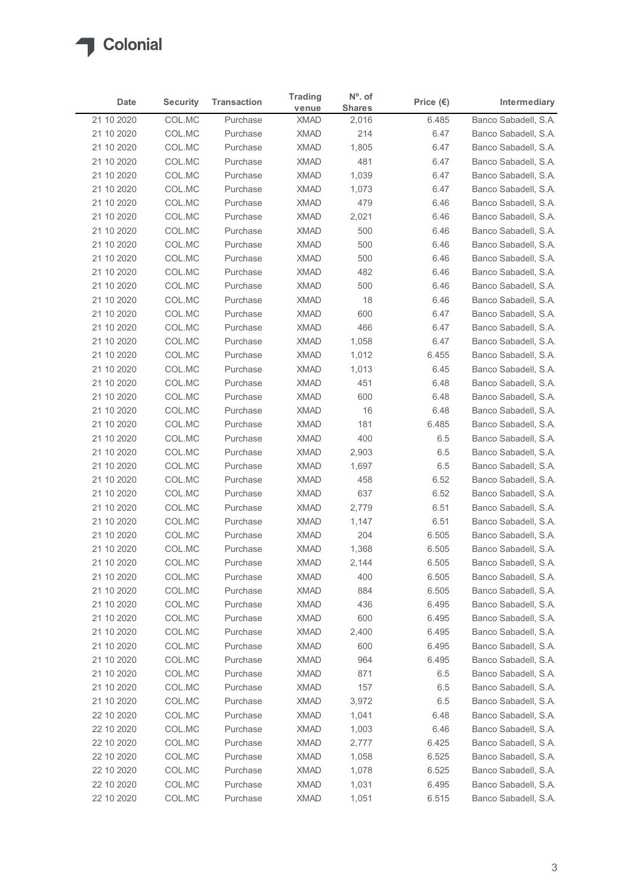

| <b>Security</b><br><b>Transaction</b><br>Price $(\epsilon)$<br>Intermediary<br>Date<br><b>Shares</b><br>venue<br>Banco Sabadell, S.A.<br>21 10 2020<br>COL.MC<br><b>XMAD</b><br>6.485<br>Purchase<br>2,016<br>21 10 2020<br>COL.MC<br><b>XMAD</b><br>Banco Sabadell, S.A.<br>Purchase<br>214<br>6.47<br>COL.MC<br><b>XMAD</b><br>Banco Sabadell, S.A.<br>21 10 2020<br>Purchase<br>1,805<br>6.47<br><b>XMAD</b><br>481<br>21 10 2020<br>COL.MC<br>Purchase<br>6.47<br>Banco Sabadell, S.A.<br>COL.MC<br><b>XMAD</b><br>1,039<br>21 10 2020<br>Purchase<br>6.47<br>Banco Sabadell, S.A.<br>21 10 2020<br>COL.MC<br><b>XMAD</b><br>Banco Sabadell, S.A.<br>Purchase<br>1,073<br>6.47<br>21 10 2020<br>COL.MC<br><b>XMAD</b><br>479<br>Banco Sabadell, S.A.<br>Purchase<br>6.46<br>21 10 2020<br>COL.MC<br>Purchase<br><b>XMAD</b><br>2,021<br>6.46<br>Banco Sabadell, S.A.<br>COL.MC<br>500<br>21 10 2020<br><b>XMAD</b><br>6.46<br>Banco Sabadell, S.A.<br>Purchase<br>COL.MC<br><b>XMAD</b><br>500<br>21 10 2020<br>Purchase<br>6.46<br>Banco Sabadell, S.A.<br>COL.MC<br><b>XMAD</b><br>21 10 2020<br>Purchase<br>500<br>6.46<br>Banco Sabadell, S.A.<br>COL.MC<br><b>XMAD</b><br>Banco Sabadell, S.A.<br>21 10 2020<br>Purchase<br>482<br>6.46<br><b>XMAD</b><br>500<br>21 10 2020<br>COL.MC<br>Purchase<br>6.46<br>Banco Sabadell, S.A.<br>21 10 2020<br>COL.MC<br>XMAD<br>18<br>6.46<br>Banco Sabadell, S.A.<br>Purchase<br>21 10 2020<br><b>XMAD</b><br>Banco Sabadell, S.A.<br>COL.MC<br>Purchase<br>600<br>6.47<br><b>XMAD</b><br>21 10 2020<br>COL.MC<br>Purchase<br>466<br>6.47<br>Banco Sabadell, S.A.<br><b>XMAD</b><br>6.47<br>21 10 2020<br>COL.MC<br>Purchase<br>1,058<br>Banco Sabadell, S.A.<br>COL.MC<br>XMAD<br>Banco Sabadell, S.A.<br>21 10 2020<br>Purchase<br>1,012<br>6.455<br>COL.MC<br><b>XMAD</b><br>Banco Sabadell, S.A.<br>21 10 2020<br>Purchase<br>1,013<br>6.45<br>21 10 2020<br>COL.MC<br>Purchase<br><b>XMAD</b><br>451<br>6.48<br>Banco Sabadell, S.A.<br>600<br>21 10 2020<br>COL.MC<br><b>XMAD</b><br>6.48<br>Banco Sabadell, S.A.<br>Purchase<br>21 10 2020<br>COL.MC<br>XMAD<br>16<br>Purchase<br>6.48<br>Banco Sabadell, S.A.<br>21 10 2020<br>COL.MC<br>Purchase<br><b>XMAD</b><br>181<br>6.485<br>Banco Sabadell, S.A.<br>21 10 2020<br>COL.MC<br>Purchase<br><b>XMAD</b><br>400<br>6.5<br>Banco Sabadell, S.A.<br>COL.MC<br>XMAD<br>6.5<br>21 10 2020<br>Purchase<br>2,903<br>Banco Sabadell, S.A.<br>21 10 2020<br>COL.MC<br><b>XMAD</b><br>6.5<br>Purchase<br>1,697<br>Banco Sabadell, S.A.<br>21 10 2020<br>COL.MC<br><b>XMAD</b><br>458<br>6.52<br>Banco Sabadell, S.A.<br>Purchase<br><b>XMAD</b><br>637<br>21 10 2020<br>COL.MC<br>Purchase<br>6.52<br>Banco Sabadell, S.A.<br><b>XMAD</b><br>2,779<br>Banco Sabadell, S.A.<br>21 10 2020<br>COL.MC<br>Purchase<br>6.51<br>COL.MC<br><b>XMAD</b><br>21 10 2020<br>Purchase<br>1,147<br>6.51<br>Banco Sabadell, S.A.<br><b>XMAD</b><br>204<br>21 10 2020<br>COL.MC<br>Purchase<br>6.505<br>Banco Sabadell, S.A.<br>6.505<br>21 10 2020<br>COL.MC<br>Purchase<br><b>XMAD</b><br>1,368<br>Banco Sabadell, S.A.<br><b>XMAD</b><br>6.505<br>21 10 2020<br>COL.MC<br>Purchase<br>2,144<br>Banco Sabadell, S.A.<br>21 10 2020<br>COL.MC<br><b>XMAD</b><br>400<br>6.505<br>Purchase<br>Banco Sabadell, S.A.<br>6.505<br>21 10 2020<br>COL.MC<br>Purchase<br><b>XMAD</b><br>884<br>Banco Sabadell, S.A.<br>21 10 2020<br>COL.MC<br>Purchase<br><b>XMAD</b><br>436<br>6.495<br>Banco Sabadell, S.A.<br>COL.MC<br>21 10 2020<br>Purchase<br><b>XMAD</b><br>600<br>6.495<br>Banco Sabadell, S.A.<br>6.495<br>21 10 2020<br>COL.MC<br>XMAD<br>2,400<br>Banco Sabadell, S.A.<br>Purchase<br><b>XMAD</b><br>6.495<br>21 10 2020<br>COL.MC<br>Purchase<br>600<br>Banco Sabadell, S.A.<br><b>XMAD</b><br>6.495<br>21 10 2020<br>COL.MC<br>Purchase<br>964<br>Banco Sabadell, S.A.<br>21 10 2020<br>COL.MC<br><b>XMAD</b><br>871<br>Banco Sabadell, S.A.<br>Purchase<br>6.5<br>21 10 2020<br>COL.MC<br>Purchase<br><b>XMAD</b><br>157<br>6.5<br>Banco Sabadell, S.A.<br>21 10 2020<br>COL.MC<br>Purchase<br><b>XMAD</b><br>3,972<br>6.5<br>Banco Sabadell, S.A.<br>22 10 2020<br>COL.MC<br><b>XMAD</b><br>1,041<br>6.48<br>Banco Sabadell, S.A.<br>Purchase<br><b>XMAD</b><br>22 10 2020<br>COL.MC<br>Purchase<br>1,003<br>6.46<br>Banco Sabadell, S.A. |
|---------------------------------------------------------------------------------------------------------------------------------------------------------------------------------------------------------------------------------------------------------------------------------------------------------------------------------------------------------------------------------------------------------------------------------------------------------------------------------------------------------------------------------------------------------------------------------------------------------------------------------------------------------------------------------------------------------------------------------------------------------------------------------------------------------------------------------------------------------------------------------------------------------------------------------------------------------------------------------------------------------------------------------------------------------------------------------------------------------------------------------------------------------------------------------------------------------------------------------------------------------------------------------------------------------------------------------------------------------------------------------------------------------------------------------------------------------------------------------------------------------------------------------------------------------------------------------------------------------------------------------------------------------------------------------------------------------------------------------------------------------------------------------------------------------------------------------------------------------------------------------------------------------------------------------------------------------------------------------------------------------------------------------------------------------------------------------------------------------------------------------------------------------------------------------------------------------------------------------------------------------------------------------------------------------------------------------------------------------------------------------------------------------------------------------------------------------------------------------------------------------------------------------------------------------------------------------------------------------------------------------------------------------------------------------------------------------------------------------------------------------------------------------------------------------------------------------------------------------------------------------------------------------------------------------------------------------------------------------------------------------------------------------------------------------------------------------------------------------------------------------------------------------------------------------------------------------------------------------------------------------------------------------------------------------------------------------------------------------------------------------------------------------------------------------------------------------------------------------------------------------------------------------------------------------------------------------------------------------------------------------------------------------------------------------------------------------------------------------------------------------------------------------------------------------------------------------------------------------------------------------------------------------------------------------------------------------------------------------------------------------------------------------------------------------------------------------------------------------------------------------------------------------------------------------------------------------------------------------------------------------------------------------------------------------------------------------------|
|                                                                                                                                                                                                                                                                                                                                                                                                                                                                                                                                                                                                                                                                                                                                                                                                                                                                                                                                                                                                                                                                                                                                                                                                                                                                                                                                                                                                                                                                                                                                                                                                                                                                                                                                                                                                                                                                                                                                                                                                                                                                                                                                                                                                                                                                                                                                                                                                                                                                                                                                                                                                                                                                                                                                                                                                                                                                                                                                                                                                                                                                                                                                                                                                                                                                                                                                                                                                                                                                                                                                                                                                                                                                                                                                                                                                                                                                                                                                                                                                                                                                                                                                                                                                                                                                                                                                       |
|                                                                                                                                                                                                                                                                                                                                                                                                                                                                                                                                                                                                                                                                                                                                                                                                                                                                                                                                                                                                                                                                                                                                                                                                                                                                                                                                                                                                                                                                                                                                                                                                                                                                                                                                                                                                                                                                                                                                                                                                                                                                                                                                                                                                                                                                                                                                                                                                                                                                                                                                                                                                                                                                                                                                                                                                                                                                                                                                                                                                                                                                                                                                                                                                                                                                                                                                                                                                                                                                                                                                                                                                                                                                                                                                                                                                                                                                                                                                                                                                                                                                                                                                                                                                                                                                                                                                       |
|                                                                                                                                                                                                                                                                                                                                                                                                                                                                                                                                                                                                                                                                                                                                                                                                                                                                                                                                                                                                                                                                                                                                                                                                                                                                                                                                                                                                                                                                                                                                                                                                                                                                                                                                                                                                                                                                                                                                                                                                                                                                                                                                                                                                                                                                                                                                                                                                                                                                                                                                                                                                                                                                                                                                                                                                                                                                                                                                                                                                                                                                                                                                                                                                                                                                                                                                                                                                                                                                                                                                                                                                                                                                                                                                                                                                                                                                                                                                                                                                                                                                                                                                                                                                                                                                                                                                       |
|                                                                                                                                                                                                                                                                                                                                                                                                                                                                                                                                                                                                                                                                                                                                                                                                                                                                                                                                                                                                                                                                                                                                                                                                                                                                                                                                                                                                                                                                                                                                                                                                                                                                                                                                                                                                                                                                                                                                                                                                                                                                                                                                                                                                                                                                                                                                                                                                                                                                                                                                                                                                                                                                                                                                                                                                                                                                                                                                                                                                                                                                                                                                                                                                                                                                                                                                                                                                                                                                                                                                                                                                                                                                                                                                                                                                                                                                                                                                                                                                                                                                                                                                                                                                                                                                                                                                       |
|                                                                                                                                                                                                                                                                                                                                                                                                                                                                                                                                                                                                                                                                                                                                                                                                                                                                                                                                                                                                                                                                                                                                                                                                                                                                                                                                                                                                                                                                                                                                                                                                                                                                                                                                                                                                                                                                                                                                                                                                                                                                                                                                                                                                                                                                                                                                                                                                                                                                                                                                                                                                                                                                                                                                                                                                                                                                                                                                                                                                                                                                                                                                                                                                                                                                                                                                                                                                                                                                                                                                                                                                                                                                                                                                                                                                                                                                                                                                                                                                                                                                                                                                                                                                                                                                                                                                       |
|                                                                                                                                                                                                                                                                                                                                                                                                                                                                                                                                                                                                                                                                                                                                                                                                                                                                                                                                                                                                                                                                                                                                                                                                                                                                                                                                                                                                                                                                                                                                                                                                                                                                                                                                                                                                                                                                                                                                                                                                                                                                                                                                                                                                                                                                                                                                                                                                                                                                                                                                                                                                                                                                                                                                                                                                                                                                                                                                                                                                                                                                                                                                                                                                                                                                                                                                                                                                                                                                                                                                                                                                                                                                                                                                                                                                                                                                                                                                                                                                                                                                                                                                                                                                                                                                                                                                       |
|                                                                                                                                                                                                                                                                                                                                                                                                                                                                                                                                                                                                                                                                                                                                                                                                                                                                                                                                                                                                                                                                                                                                                                                                                                                                                                                                                                                                                                                                                                                                                                                                                                                                                                                                                                                                                                                                                                                                                                                                                                                                                                                                                                                                                                                                                                                                                                                                                                                                                                                                                                                                                                                                                                                                                                                                                                                                                                                                                                                                                                                                                                                                                                                                                                                                                                                                                                                                                                                                                                                                                                                                                                                                                                                                                                                                                                                                                                                                                                                                                                                                                                                                                                                                                                                                                                                                       |
|                                                                                                                                                                                                                                                                                                                                                                                                                                                                                                                                                                                                                                                                                                                                                                                                                                                                                                                                                                                                                                                                                                                                                                                                                                                                                                                                                                                                                                                                                                                                                                                                                                                                                                                                                                                                                                                                                                                                                                                                                                                                                                                                                                                                                                                                                                                                                                                                                                                                                                                                                                                                                                                                                                                                                                                                                                                                                                                                                                                                                                                                                                                                                                                                                                                                                                                                                                                                                                                                                                                                                                                                                                                                                                                                                                                                                                                                                                                                                                                                                                                                                                                                                                                                                                                                                                                                       |
|                                                                                                                                                                                                                                                                                                                                                                                                                                                                                                                                                                                                                                                                                                                                                                                                                                                                                                                                                                                                                                                                                                                                                                                                                                                                                                                                                                                                                                                                                                                                                                                                                                                                                                                                                                                                                                                                                                                                                                                                                                                                                                                                                                                                                                                                                                                                                                                                                                                                                                                                                                                                                                                                                                                                                                                                                                                                                                                                                                                                                                                                                                                                                                                                                                                                                                                                                                                                                                                                                                                                                                                                                                                                                                                                                                                                                                                                                                                                                                                                                                                                                                                                                                                                                                                                                                                                       |
|                                                                                                                                                                                                                                                                                                                                                                                                                                                                                                                                                                                                                                                                                                                                                                                                                                                                                                                                                                                                                                                                                                                                                                                                                                                                                                                                                                                                                                                                                                                                                                                                                                                                                                                                                                                                                                                                                                                                                                                                                                                                                                                                                                                                                                                                                                                                                                                                                                                                                                                                                                                                                                                                                                                                                                                                                                                                                                                                                                                                                                                                                                                                                                                                                                                                                                                                                                                                                                                                                                                                                                                                                                                                                                                                                                                                                                                                                                                                                                                                                                                                                                                                                                                                                                                                                                                                       |
|                                                                                                                                                                                                                                                                                                                                                                                                                                                                                                                                                                                                                                                                                                                                                                                                                                                                                                                                                                                                                                                                                                                                                                                                                                                                                                                                                                                                                                                                                                                                                                                                                                                                                                                                                                                                                                                                                                                                                                                                                                                                                                                                                                                                                                                                                                                                                                                                                                                                                                                                                                                                                                                                                                                                                                                                                                                                                                                                                                                                                                                                                                                                                                                                                                                                                                                                                                                                                                                                                                                                                                                                                                                                                                                                                                                                                                                                                                                                                                                                                                                                                                                                                                                                                                                                                                                                       |
|                                                                                                                                                                                                                                                                                                                                                                                                                                                                                                                                                                                                                                                                                                                                                                                                                                                                                                                                                                                                                                                                                                                                                                                                                                                                                                                                                                                                                                                                                                                                                                                                                                                                                                                                                                                                                                                                                                                                                                                                                                                                                                                                                                                                                                                                                                                                                                                                                                                                                                                                                                                                                                                                                                                                                                                                                                                                                                                                                                                                                                                                                                                                                                                                                                                                                                                                                                                                                                                                                                                                                                                                                                                                                                                                                                                                                                                                                                                                                                                                                                                                                                                                                                                                                                                                                                                                       |
|                                                                                                                                                                                                                                                                                                                                                                                                                                                                                                                                                                                                                                                                                                                                                                                                                                                                                                                                                                                                                                                                                                                                                                                                                                                                                                                                                                                                                                                                                                                                                                                                                                                                                                                                                                                                                                                                                                                                                                                                                                                                                                                                                                                                                                                                                                                                                                                                                                                                                                                                                                                                                                                                                                                                                                                                                                                                                                                                                                                                                                                                                                                                                                                                                                                                                                                                                                                                                                                                                                                                                                                                                                                                                                                                                                                                                                                                                                                                                                                                                                                                                                                                                                                                                                                                                                                                       |
|                                                                                                                                                                                                                                                                                                                                                                                                                                                                                                                                                                                                                                                                                                                                                                                                                                                                                                                                                                                                                                                                                                                                                                                                                                                                                                                                                                                                                                                                                                                                                                                                                                                                                                                                                                                                                                                                                                                                                                                                                                                                                                                                                                                                                                                                                                                                                                                                                                                                                                                                                                                                                                                                                                                                                                                                                                                                                                                                                                                                                                                                                                                                                                                                                                                                                                                                                                                                                                                                                                                                                                                                                                                                                                                                                                                                                                                                                                                                                                                                                                                                                                                                                                                                                                                                                                                                       |
|                                                                                                                                                                                                                                                                                                                                                                                                                                                                                                                                                                                                                                                                                                                                                                                                                                                                                                                                                                                                                                                                                                                                                                                                                                                                                                                                                                                                                                                                                                                                                                                                                                                                                                                                                                                                                                                                                                                                                                                                                                                                                                                                                                                                                                                                                                                                                                                                                                                                                                                                                                                                                                                                                                                                                                                                                                                                                                                                                                                                                                                                                                                                                                                                                                                                                                                                                                                                                                                                                                                                                                                                                                                                                                                                                                                                                                                                                                                                                                                                                                                                                                                                                                                                                                                                                                                                       |
|                                                                                                                                                                                                                                                                                                                                                                                                                                                                                                                                                                                                                                                                                                                                                                                                                                                                                                                                                                                                                                                                                                                                                                                                                                                                                                                                                                                                                                                                                                                                                                                                                                                                                                                                                                                                                                                                                                                                                                                                                                                                                                                                                                                                                                                                                                                                                                                                                                                                                                                                                                                                                                                                                                                                                                                                                                                                                                                                                                                                                                                                                                                                                                                                                                                                                                                                                                                                                                                                                                                                                                                                                                                                                                                                                                                                                                                                                                                                                                                                                                                                                                                                                                                                                                                                                                                                       |
|                                                                                                                                                                                                                                                                                                                                                                                                                                                                                                                                                                                                                                                                                                                                                                                                                                                                                                                                                                                                                                                                                                                                                                                                                                                                                                                                                                                                                                                                                                                                                                                                                                                                                                                                                                                                                                                                                                                                                                                                                                                                                                                                                                                                                                                                                                                                                                                                                                                                                                                                                                                                                                                                                                                                                                                                                                                                                                                                                                                                                                                                                                                                                                                                                                                                                                                                                                                                                                                                                                                                                                                                                                                                                                                                                                                                                                                                                                                                                                                                                                                                                                                                                                                                                                                                                                                                       |
|                                                                                                                                                                                                                                                                                                                                                                                                                                                                                                                                                                                                                                                                                                                                                                                                                                                                                                                                                                                                                                                                                                                                                                                                                                                                                                                                                                                                                                                                                                                                                                                                                                                                                                                                                                                                                                                                                                                                                                                                                                                                                                                                                                                                                                                                                                                                                                                                                                                                                                                                                                                                                                                                                                                                                                                                                                                                                                                                                                                                                                                                                                                                                                                                                                                                                                                                                                                                                                                                                                                                                                                                                                                                                                                                                                                                                                                                                                                                                                                                                                                                                                                                                                                                                                                                                                                                       |
|                                                                                                                                                                                                                                                                                                                                                                                                                                                                                                                                                                                                                                                                                                                                                                                                                                                                                                                                                                                                                                                                                                                                                                                                                                                                                                                                                                                                                                                                                                                                                                                                                                                                                                                                                                                                                                                                                                                                                                                                                                                                                                                                                                                                                                                                                                                                                                                                                                                                                                                                                                                                                                                                                                                                                                                                                                                                                                                                                                                                                                                                                                                                                                                                                                                                                                                                                                                                                                                                                                                                                                                                                                                                                                                                                                                                                                                                                                                                                                                                                                                                                                                                                                                                                                                                                                                                       |
|                                                                                                                                                                                                                                                                                                                                                                                                                                                                                                                                                                                                                                                                                                                                                                                                                                                                                                                                                                                                                                                                                                                                                                                                                                                                                                                                                                                                                                                                                                                                                                                                                                                                                                                                                                                                                                                                                                                                                                                                                                                                                                                                                                                                                                                                                                                                                                                                                                                                                                                                                                                                                                                                                                                                                                                                                                                                                                                                                                                                                                                                                                                                                                                                                                                                                                                                                                                                                                                                                                                                                                                                                                                                                                                                                                                                                                                                                                                                                                                                                                                                                                                                                                                                                                                                                                                                       |
|                                                                                                                                                                                                                                                                                                                                                                                                                                                                                                                                                                                                                                                                                                                                                                                                                                                                                                                                                                                                                                                                                                                                                                                                                                                                                                                                                                                                                                                                                                                                                                                                                                                                                                                                                                                                                                                                                                                                                                                                                                                                                                                                                                                                                                                                                                                                                                                                                                                                                                                                                                                                                                                                                                                                                                                                                                                                                                                                                                                                                                                                                                                                                                                                                                                                                                                                                                                                                                                                                                                                                                                                                                                                                                                                                                                                                                                                                                                                                                                                                                                                                                                                                                                                                                                                                                                                       |
|                                                                                                                                                                                                                                                                                                                                                                                                                                                                                                                                                                                                                                                                                                                                                                                                                                                                                                                                                                                                                                                                                                                                                                                                                                                                                                                                                                                                                                                                                                                                                                                                                                                                                                                                                                                                                                                                                                                                                                                                                                                                                                                                                                                                                                                                                                                                                                                                                                                                                                                                                                                                                                                                                                                                                                                                                                                                                                                                                                                                                                                                                                                                                                                                                                                                                                                                                                                                                                                                                                                                                                                                                                                                                                                                                                                                                                                                                                                                                                                                                                                                                                                                                                                                                                                                                                                                       |
|                                                                                                                                                                                                                                                                                                                                                                                                                                                                                                                                                                                                                                                                                                                                                                                                                                                                                                                                                                                                                                                                                                                                                                                                                                                                                                                                                                                                                                                                                                                                                                                                                                                                                                                                                                                                                                                                                                                                                                                                                                                                                                                                                                                                                                                                                                                                                                                                                                                                                                                                                                                                                                                                                                                                                                                                                                                                                                                                                                                                                                                                                                                                                                                                                                                                                                                                                                                                                                                                                                                                                                                                                                                                                                                                                                                                                                                                                                                                                                                                                                                                                                                                                                                                                                                                                                                                       |
|                                                                                                                                                                                                                                                                                                                                                                                                                                                                                                                                                                                                                                                                                                                                                                                                                                                                                                                                                                                                                                                                                                                                                                                                                                                                                                                                                                                                                                                                                                                                                                                                                                                                                                                                                                                                                                                                                                                                                                                                                                                                                                                                                                                                                                                                                                                                                                                                                                                                                                                                                                                                                                                                                                                                                                                                                                                                                                                                                                                                                                                                                                                                                                                                                                                                                                                                                                                                                                                                                                                                                                                                                                                                                                                                                                                                                                                                                                                                                                                                                                                                                                                                                                                                                                                                                                                                       |
|                                                                                                                                                                                                                                                                                                                                                                                                                                                                                                                                                                                                                                                                                                                                                                                                                                                                                                                                                                                                                                                                                                                                                                                                                                                                                                                                                                                                                                                                                                                                                                                                                                                                                                                                                                                                                                                                                                                                                                                                                                                                                                                                                                                                                                                                                                                                                                                                                                                                                                                                                                                                                                                                                                                                                                                                                                                                                                                                                                                                                                                                                                                                                                                                                                                                                                                                                                                                                                                                                                                                                                                                                                                                                                                                                                                                                                                                                                                                                                                                                                                                                                                                                                                                                                                                                                                                       |
|                                                                                                                                                                                                                                                                                                                                                                                                                                                                                                                                                                                                                                                                                                                                                                                                                                                                                                                                                                                                                                                                                                                                                                                                                                                                                                                                                                                                                                                                                                                                                                                                                                                                                                                                                                                                                                                                                                                                                                                                                                                                                                                                                                                                                                                                                                                                                                                                                                                                                                                                                                                                                                                                                                                                                                                                                                                                                                                                                                                                                                                                                                                                                                                                                                                                                                                                                                                                                                                                                                                                                                                                                                                                                                                                                                                                                                                                                                                                                                                                                                                                                                                                                                                                                                                                                                                                       |
|                                                                                                                                                                                                                                                                                                                                                                                                                                                                                                                                                                                                                                                                                                                                                                                                                                                                                                                                                                                                                                                                                                                                                                                                                                                                                                                                                                                                                                                                                                                                                                                                                                                                                                                                                                                                                                                                                                                                                                                                                                                                                                                                                                                                                                                                                                                                                                                                                                                                                                                                                                                                                                                                                                                                                                                                                                                                                                                                                                                                                                                                                                                                                                                                                                                                                                                                                                                                                                                                                                                                                                                                                                                                                                                                                                                                                                                                                                                                                                                                                                                                                                                                                                                                                                                                                                                                       |
|                                                                                                                                                                                                                                                                                                                                                                                                                                                                                                                                                                                                                                                                                                                                                                                                                                                                                                                                                                                                                                                                                                                                                                                                                                                                                                                                                                                                                                                                                                                                                                                                                                                                                                                                                                                                                                                                                                                                                                                                                                                                                                                                                                                                                                                                                                                                                                                                                                                                                                                                                                                                                                                                                                                                                                                                                                                                                                                                                                                                                                                                                                                                                                                                                                                                                                                                                                                                                                                                                                                                                                                                                                                                                                                                                                                                                                                                                                                                                                                                                                                                                                                                                                                                                                                                                                                                       |
|                                                                                                                                                                                                                                                                                                                                                                                                                                                                                                                                                                                                                                                                                                                                                                                                                                                                                                                                                                                                                                                                                                                                                                                                                                                                                                                                                                                                                                                                                                                                                                                                                                                                                                                                                                                                                                                                                                                                                                                                                                                                                                                                                                                                                                                                                                                                                                                                                                                                                                                                                                                                                                                                                                                                                                                                                                                                                                                                                                                                                                                                                                                                                                                                                                                                                                                                                                                                                                                                                                                                                                                                                                                                                                                                                                                                                                                                                                                                                                                                                                                                                                                                                                                                                                                                                                                                       |
|                                                                                                                                                                                                                                                                                                                                                                                                                                                                                                                                                                                                                                                                                                                                                                                                                                                                                                                                                                                                                                                                                                                                                                                                                                                                                                                                                                                                                                                                                                                                                                                                                                                                                                                                                                                                                                                                                                                                                                                                                                                                                                                                                                                                                                                                                                                                                                                                                                                                                                                                                                                                                                                                                                                                                                                                                                                                                                                                                                                                                                                                                                                                                                                                                                                                                                                                                                                                                                                                                                                                                                                                                                                                                                                                                                                                                                                                                                                                                                                                                                                                                                                                                                                                                                                                                                                                       |
|                                                                                                                                                                                                                                                                                                                                                                                                                                                                                                                                                                                                                                                                                                                                                                                                                                                                                                                                                                                                                                                                                                                                                                                                                                                                                                                                                                                                                                                                                                                                                                                                                                                                                                                                                                                                                                                                                                                                                                                                                                                                                                                                                                                                                                                                                                                                                                                                                                                                                                                                                                                                                                                                                                                                                                                                                                                                                                                                                                                                                                                                                                                                                                                                                                                                                                                                                                                                                                                                                                                                                                                                                                                                                                                                                                                                                                                                                                                                                                                                                                                                                                                                                                                                                                                                                                                                       |
|                                                                                                                                                                                                                                                                                                                                                                                                                                                                                                                                                                                                                                                                                                                                                                                                                                                                                                                                                                                                                                                                                                                                                                                                                                                                                                                                                                                                                                                                                                                                                                                                                                                                                                                                                                                                                                                                                                                                                                                                                                                                                                                                                                                                                                                                                                                                                                                                                                                                                                                                                                                                                                                                                                                                                                                                                                                                                                                                                                                                                                                                                                                                                                                                                                                                                                                                                                                                                                                                                                                                                                                                                                                                                                                                                                                                                                                                                                                                                                                                                                                                                                                                                                                                                                                                                                                                       |
|                                                                                                                                                                                                                                                                                                                                                                                                                                                                                                                                                                                                                                                                                                                                                                                                                                                                                                                                                                                                                                                                                                                                                                                                                                                                                                                                                                                                                                                                                                                                                                                                                                                                                                                                                                                                                                                                                                                                                                                                                                                                                                                                                                                                                                                                                                                                                                                                                                                                                                                                                                                                                                                                                                                                                                                                                                                                                                                                                                                                                                                                                                                                                                                                                                                                                                                                                                                                                                                                                                                                                                                                                                                                                                                                                                                                                                                                                                                                                                                                                                                                                                                                                                                                                                                                                                                                       |
|                                                                                                                                                                                                                                                                                                                                                                                                                                                                                                                                                                                                                                                                                                                                                                                                                                                                                                                                                                                                                                                                                                                                                                                                                                                                                                                                                                                                                                                                                                                                                                                                                                                                                                                                                                                                                                                                                                                                                                                                                                                                                                                                                                                                                                                                                                                                                                                                                                                                                                                                                                                                                                                                                                                                                                                                                                                                                                                                                                                                                                                                                                                                                                                                                                                                                                                                                                                                                                                                                                                                                                                                                                                                                                                                                                                                                                                                                                                                                                                                                                                                                                                                                                                                                                                                                                                                       |
|                                                                                                                                                                                                                                                                                                                                                                                                                                                                                                                                                                                                                                                                                                                                                                                                                                                                                                                                                                                                                                                                                                                                                                                                                                                                                                                                                                                                                                                                                                                                                                                                                                                                                                                                                                                                                                                                                                                                                                                                                                                                                                                                                                                                                                                                                                                                                                                                                                                                                                                                                                                                                                                                                                                                                                                                                                                                                                                                                                                                                                                                                                                                                                                                                                                                                                                                                                                                                                                                                                                                                                                                                                                                                                                                                                                                                                                                                                                                                                                                                                                                                                                                                                                                                                                                                                                                       |
|                                                                                                                                                                                                                                                                                                                                                                                                                                                                                                                                                                                                                                                                                                                                                                                                                                                                                                                                                                                                                                                                                                                                                                                                                                                                                                                                                                                                                                                                                                                                                                                                                                                                                                                                                                                                                                                                                                                                                                                                                                                                                                                                                                                                                                                                                                                                                                                                                                                                                                                                                                                                                                                                                                                                                                                                                                                                                                                                                                                                                                                                                                                                                                                                                                                                                                                                                                                                                                                                                                                                                                                                                                                                                                                                                                                                                                                                                                                                                                                                                                                                                                                                                                                                                                                                                                                                       |
|                                                                                                                                                                                                                                                                                                                                                                                                                                                                                                                                                                                                                                                                                                                                                                                                                                                                                                                                                                                                                                                                                                                                                                                                                                                                                                                                                                                                                                                                                                                                                                                                                                                                                                                                                                                                                                                                                                                                                                                                                                                                                                                                                                                                                                                                                                                                                                                                                                                                                                                                                                                                                                                                                                                                                                                                                                                                                                                                                                                                                                                                                                                                                                                                                                                                                                                                                                                                                                                                                                                                                                                                                                                                                                                                                                                                                                                                                                                                                                                                                                                                                                                                                                                                                                                                                                                                       |
|                                                                                                                                                                                                                                                                                                                                                                                                                                                                                                                                                                                                                                                                                                                                                                                                                                                                                                                                                                                                                                                                                                                                                                                                                                                                                                                                                                                                                                                                                                                                                                                                                                                                                                                                                                                                                                                                                                                                                                                                                                                                                                                                                                                                                                                                                                                                                                                                                                                                                                                                                                                                                                                                                                                                                                                                                                                                                                                                                                                                                                                                                                                                                                                                                                                                                                                                                                                                                                                                                                                                                                                                                                                                                                                                                                                                                                                                                                                                                                                                                                                                                                                                                                                                                                                                                                                                       |
|                                                                                                                                                                                                                                                                                                                                                                                                                                                                                                                                                                                                                                                                                                                                                                                                                                                                                                                                                                                                                                                                                                                                                                                                                                                                                                                                                                                                                                                                                                                                                                                                                                                                                                                                                                                                                                                                                                                                                                                                                                                                                                                                                                                                                                                                                                                                                                                                                                                                                                                                                                                                                                                                                                                                                                                                                                                                                                                                                                                                                                                                                                                                                                                                                                                                                                                                                                                                                                                                                                                                                                                                                                                                                                                                                                                                                                                                                                                                                                                                                                                                                                                                                                                                                                                                                                                                       |
|                                                                                                                                                                                                                                                                                                                                                                                                                                                                                                                                                                                                                                                                                                                                                                                                                                                                                                                                                                                                                                                                                                                                                                                                                                                                                                                                                                                                                                                                                                                                                                                                                                                                                                                                                                                                                                                                                                                                                                                                                                                                                                                                                                                                                                                                                                                                                                                                                                                                                                                                                                                                                                                                                                                                                                                                                                                                                                                                                                                                                                                                                                                                                                                                                                                                                                                                                                                                                                                                                                                                                                                                                                                                                                                                                                                                                                                                                                                                                                                                                                                                                                                                                                                                                                                                                                                                       |
|                                                                                                                                                                                                                                                                                                                                                                                                                                                                                                                                                                                                                                                                                                                                                                                                                                                                                                                                                                                                                                                                                                                                                                                                                                                                                                                                                                                                                                                                                                                                                                                                                                                                                                                                                                                                                                                                                                                                                                                                                                                                                                                                                                                                                                                                                                                                                                                                                                                                                                                                                                                                                                                                                                                                                                                                                                                                                                                                                                                                                                                                                                                                                                                                                                                                                                                                                                                                                                                                                                                                                                                                                                                                                                                                                                                                                                                                                                                                                                                                                                                                                                                                                                                                                                                                                                                                       |
| XMAD<br>22 10 2020<br>COL.MC<br>Purchase<br>2,777<br>6.425<br>Banco Sabadell, S.A.                                                                                                                                                                                                                                                                                                                                                                                                                                                                                                                                                                                                                                                                                                                                                                                                                                                                                                                                                                                                                                                                                                                                                                                                                                                                                                                                                                                                                                                                                                                                                                                                                                                                                                                                                                                                                                                                                                                                                                                                                                                                                                                                                                                                                                                                                                                                                                                                                                                                                                                                                                                                                                                                                                                                                                                                                                                                                                                                                                                                                                                                                                                                                                                                                                                                                                                                                                                                                                                                                                                                                                                                                                                                                                                                                                                                                                                                                                                                                                                                                                                                                                                                                                                                                                                    |
| XMAD<br>22 10 2020<br>COL.MC<br>Purchase<br>1,058<br>6.525<br>Banco Sabadell, S.A.                                                                                                                                                                                                                                                                                                                                                                                                                                                                                                                                                                                                                                                                                                                                                                                                                                                                                                                                                                                                                                                                                                                                                                                                                                                                                                                                                                                                                                                                                                                                                                                                                                                                                                                                                                                                                                                                                                                                                                                                                                                                                                                                                                                                                                                                                                                                                                                                                                                                                                                                                                                                                                                                                                                                                                                                                                                                                                                                                                                                                                                                                                                                                                                                                                                                                                                                                                                                                                                                                                                                                                                                                                                                                                                                                                                                                                                                                                                                                                                                                                                                                                                                                                                                                                                    |
| <b>XMAD</b><br>6.525<br>22 10 2020<br>COL.MC<br>Purchase<br>1,078<br>Banco Sabadell, S.A.                                                                                                                                                                                                                                                                                                                                                                                                                                                                                                                                                                                                                                                                                                                                                                                                                                                                                                                                                                                                                                                                                                                                                                                                                                                                                                                                                                                                                                                                                                                                                                                                                                                                                                                                                                                                                                                                                                                                                                                                                                                                                                                                                                                                                                                                                                                                                                                                                                                                                                                                                                                                                                                                                                                                                                                                                                                                                                                                                                                                                                                                                                                                                                                                                                                                                                                                                                                                                                                                                                                                                                                                                                                                                                                                                                                                                                                                                                                                                                                                                                                                                                                                                                                                                                             |
| COL.MC<br>22 10 2020<br>Purchase<br><b>XMAD</b><br>1,031<br>6.495<br>Banco Sabadell, S.A.<br>22 10 2020<br>COL.MC<br>XMAD<br>1,051<br>6.515<br>Banco Sabadell, S.A.<br>Purchase                                                                                                                                                                                                                                                                                                                                                                                                                                                                                                                                                                                                                                                                                                                                                                                                                                                                                                                                                                                                                                                                                                                                                                                                                                                                                                                                                                                                                                                                                                                                                                                                                                                                                                                                                                                                                                                                                                                                                                                                                                                                                                                                                                                                                                                                                                                                                                                                                                                                                                                                                                                                                                                                                                                                                                                                                                                                                                                                                                                                                                                                                                                                                                                                                                                                                                                                                                                                                                                                                                                                                                                                                                                                                                                                                                                                                                                                                                                                                                                                                                                                                                                                                       |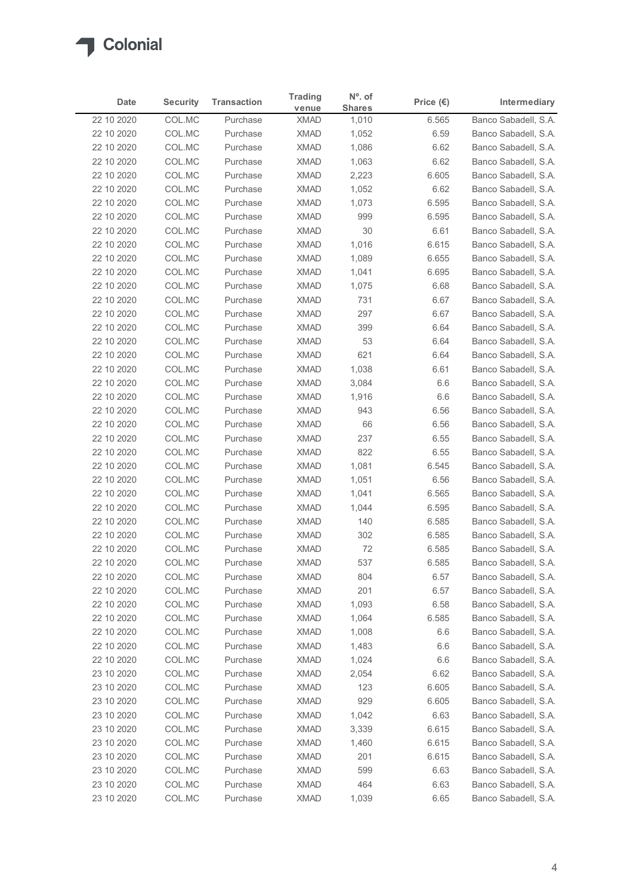

|                          |                  |                      | <b>Trading</b>             | $No$ . of      |                    |                                              |
|--------------------------|------------------|----------------------|----------------------------|----------------|--------------------|----------------------------------------------|
| Date                     | <b>Security</b>  | <b>Transaction</b>   | venue                      | <b>Shares</b>  | Price $(\epsilon)$ | Intermediary<br>Banco Sabadell, S.A.         |
| 22 10 2020<br>22 10 2020 | COL.MC<br>COL.MC | Purchase<br>Purchase | <b>XMAD</b><br><b>XMAD</b> | 1,010<br>1,052 | 6.565<br>6.59      | Banco Sabadell, S.A.                         |
| 22 10 2020               | COL.MC           | Purchase             | <b>XMAD</b>                | 1,086          | 6.62               | Banco Sabadell, S.A.                         |
| 22 10 2020               | COL.MC           | Purchase             | <b>XMAD</b>                | 1,063          | 6.62               | Banco Sabadell, S.A.                         |
| 22 10 2020               | COL.MC           | Purchase             | <b>XMAD</b>                | 2,223          | 6.605              | Banco Sabadell, S.A.                         |
| 22 10 2020               | COL.MC           | Purchase             | <b>XMAD</b>                | 1,052          | 6.62               | Banco Sabadell, S.A.                         |
| 22 10 2020               | COL.MC           | Purchase             | <b>XMAD</b>                | 1,073          | 6.595              | Banco Sabadell, S.A.                         |
| 22 10 2020               | COL.MC           | Purchase             | <b>XMAD</b>                | 999            | 6.595              | Banco Sabadell, S.A.                         |
| 22 10 2020<br>22 10 2020 | COL.MC<br>COL.MC | Purchase<br>Purchase | <b>XMAD</b><br><b>XMAD</b> | 30<br>1,016    | 6.61<br>6.615      | Banco Sabadell, S.A.<br>Banco Sabadell, S.A. |
| 22 10 2020               | COL.MC           | Purchase             | <b>XMAD</b>                | 1,089          | 6.655              | Banco Sabadell, S.A.                         |
| 22 10 2020               | COL.MC           | Purchase             | <b>XMAD</b>                | 1,041          | 6.695              | Banco Sabadell, S.A.                         |
| 22 10 2020               | COL.MC           | Purchase             | <b>XMAD</b>                | 1,075          | 6.68               | Banco Sabadell, S.A.                         |
| 22 10 2020               | COL.MC           | Purchase             | XMAD                       | 731            | 6.67               | Banco Sabadell, S.A.                         |
| 22 10 2020               | COL.MC           | Purchase             | <b>XMAD</b>                | 297            | 6.67               | Banco Sabadell, S.A.                         |
| 22 10 2020               | COL.MC           | Purchase             | XMAD                       | 399            | 6.64               | Banco Sabadell, S.A.                         |
| 22 10 2020               | COL.MC           | Purchase             | <b>XMAD</b>                | 53             | 6.64               | Banco Sabadell, S.A.                         |
| 22 10 2020<br>22 10 2020 | COL.MC<br>COL.MC | Purchase<br>Purchase | <b>XMAD</b><br><b>XMAD</b> | 621<br>1,038   | 6.64<br>6.61       | Banco Sabadell, S.A.<br>Banco Sabadell, S.A. |
| 22 10 2020               | COL.MC           | Purchase             | <b>XMAD</b>                | 3,084          | 6.6                | Banco Sabadell, S.A.                         |
| 22 10 2020               | COL.MC           | Purchase             | <b>XMAD</b>                | 1,916          | 6.6                | Banco Sabadell, S.A.                         |
| 22 10 2020               | COL.MC           | Purchase             | <b>XMAD</b>                | 943            | 6.56               | Banco Sabadell, S.A.                         |
| 22 10 2020               | COL.MC           | Purchase             | XMAD                       | 66             | 6.56               | Banco Sabadell, S.A.                         |
| 22 10 2020               | COL.MC           | Purchase             | <b>XMAD</b>                | 237            | 6.55               | Banco Sabadell, S.A.                         |
| 22 10 2020               | COL.MC           | Purchase             | <b>XMAD</b>                | 822            | 6.55               | Banco Sabadell, S.A.                         |
| 22 10 2020               | COL.MC           | Purchase             | <b>XMAD</b>                | 1,081          | 6.545              | Banco Sabadell, S.A.                         |
| 22 10 2020               | COL.MC           | Purchase             | <b>XMAD</b>                | 1,051          | 6.56               | Banco Sabadell, S.A.                         |
| 22 10 2020               | COL.MC           | Purchase             | <b>XMAD</b>                | 1,041          | 6.565              | Banco Sabadell, S.A.                         |
| 22 10 2020<br>22 10 2020 | COL.MC<br>COL.MC | Purchase<br>Purchase | <b>XMAD</b><br><b>XMAD</b> | 1,044<br>140   | 6.595<br>6.585     | Banco Sabadell, S.A.<br>Banco Sabadell, S.A. |
| 22 10 2020               | COL.MC           | Purchase             | <b>XMAD</b>                | 302            | 6.585              | Banco Sabadell, S.A.                         |
| 22 10 2020               | COL.MC           | Purchase             | <b>XMAD</b>                | 72             | 6.585              | Banco Sabadell, S.A.                         |
| 22 10 2020               | COL.MC           | Purchase             | <b>XMAD</b>                | 537            | 6.585              | Banco Sabadell, S.A.                         |
| 22 10 2020               | COL.MC           | Purchase             | <b>XMAD</b>                | 804            | 6.57               | Banco Sabadell, S.A.                         |
| 22 10 2020               | COL.MC           | Purchase             | XMAD                       | 201            | 6.57               | Banco Sabadell, S.A.                         |
| 22 10 2020               | COL.MC           | Purchase             | <b>XMAD</b>                | 1,093          | 6.58               | Banco Sabadell, S.A.                         |
| 22 10 2020               | COL.MC           | Purchase             | <b>XMAD</b>                | 1,064          | 6.585              | Banco Sabadell, S.A.                         |
| 22 10 2020               | COL.MC           | Purchase             | <b>XMAD</b>                | 1,008          | 6.6                | Banco Sabadell, S.A.                         |
| 22 10 2020<br>22 10 2020 | COL.MC<br>COL.MC | Purchase<br>Purchase | <b>XMAD</b><br><b>XMAD</b> | 1,483<br>1,024 | 6.6<br>6.6         | Banco Sabadell, S.A.<br>Banco Sabadell, S.A. |
| 23 10 2020               | COL.MC           | Purchase             | <b>XMAD</b>                | 2,054          | 6.62               | Banco Sabadell, S.A.                         |
| 23 10 2020               | COL.MC           | Purchase             | <b>XMAD</b>                | 123            | 6.605              | Banco Sabadell, S.A.                         |
| 23 10 2020               | COL.MC           | Purchase             | <b>XMAD</b>                | 929            | 6.605              | Banco Sabadell, S.A.                         |
| 23 10 2020               | COL.MC           | Purchase             | <b>XMAD</b>                | 1,042          | 6.63               | Banco Sabadell, S.A.                         |
| 23 10 2020               | COL.MC           | Purchase             | XMAD                       | 3,339          | 6.615              | Banco Sabadell, S.A.                         |
| 23 10 2020               | COL.MC           | Purchase             | <b>XMAD</b>                | 1,460          | 6.615              | Banco Sabadell, S.A.                         |
| 23 10 2020               | COL.MC           | Purchase             | <b>XMAD</b>                | 201            | 6.615              | Banco Sabadell, S.A.                         |
| 23 10 2020               | COL.MC<br>COL.MC | Purchase             | <b>XMAD</b>                | 599            | 6.63               | Banco Sabadell, S.A.                         |
| 23 10 2020               |                  | Purchase             | <b>XMAD</b>                | 464            | 6.63               | Banco Sabadell, S.A.                         |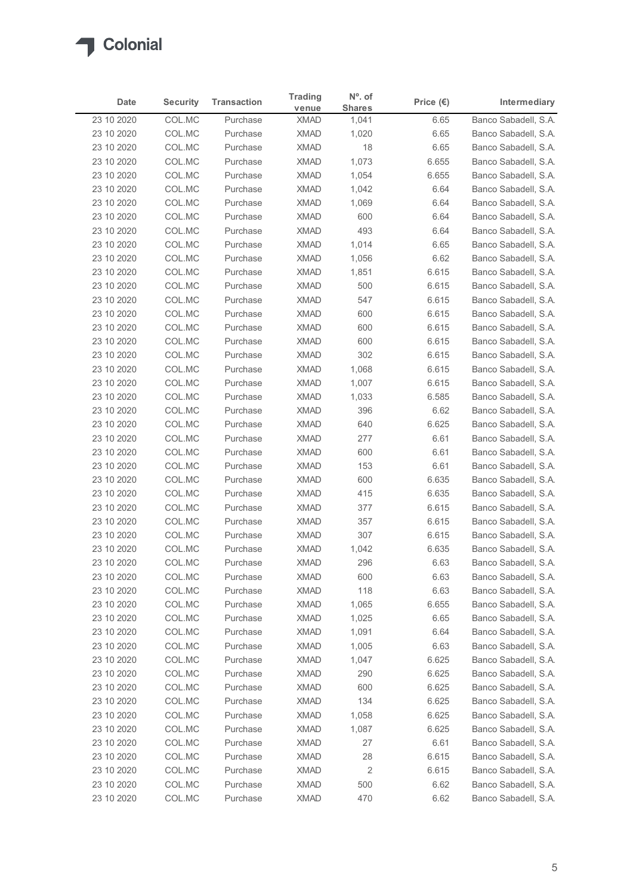

| Date                     | <b>Security</b>  | <b>Transaction</b>   | <b>Trading</b>             | $No$ . of              | Price $(\epsilon)$ | Intermediary                                 |
|--------------------------|------------------|----------------------|----------------------------|------------------------|--------------------|----------------------------------------------|
| 23 10 2020               | COL.MC           | Purchase             | venue<br><b>XMAD</b>       | <b>Shares</b><br>1,041 | 6.65               | Banco Sabadell, S.A.                         |
| 23 10 2020               | COL.MC           | Purchase             | <b>XMAD</b>                | 1,020                  | 6.65               | Banco Sabadell, S.A.                         |
| 23 10 2020               | COL.MC           | Purchase             | <b>XMAD</b>                | 18                     | 6.65               | Banco Sabadell, S.A.                         |
| 23 10 2020               | COL.MC           | Purchase             | <b>XMAD</b>                | 1,073                  | 6.655              | Banco Sabadell, S.A.                         |
| 23 10 2020               | COL.MC           | Purchase             | <b>XMAD</b>                | 1,054                  | 6.655              | Banco Sabadell, S.A.                         |
| 23 10 2020               | COL.MC           | Purchase             | <b>XMAD</b>                | 1,042                  | 6.64               | Banco Sabadell, S.A.                         |
| 23 10 2020               | COL.MC           | Purchase<br>Purchase | <b>XMAD</b><br><b>XMAD</b> | 1,069                  | 6.64<br>6.64       | Banco Sabadell, S.A.                         |
| 23 10 2020<br>23 10 2020 | COL.MC<br>COL.MC | Purchase             | <b>XMAD</b>                | 600<br>493             | 6.64               | Banco Sabadell, S.A.<br>Banco Sabadell, S.A. |
| 23 10 2020               | COL.MC           | Purchase             | <b>XMAD</b>                | 1,014                  | 6.65               | Banco Sabadell, S.A.                         |
| 23 10 2020               | COL.MC           | Purchase             | <b>XMAD</b>                | 1,056                  | 6.62               | Banco Sabadell, S.A.                         |
| 23 10 2020               | COL.MC           | Purchase             | <b>XMAD</b>                | 1,851                  | 6.615              | Banco Sabadell, S.A.                         |
| 23 10 2020               | COL.MC           | Purchase             | <b>XMAD</b>                | 500                    | 6.615              | Banco Sabadell, S.A.                         |
| 23 10 2020               | COL.MC           | Purchase             | XMAD                       | 547                    | 6.615              | Banco Sabadell, S.A.                         |
| 23 10 2020               | COL.MC           | Purchase             | <b>XMAD</b>                | 600                    | 6.615              | Banco Sabadell, S.A.                         |
| 23 10 2020               | COL.MC           | Purchase             | XMAD                       | 600                    | 6.615              | Banco Sabadell, S.A.                         |
| 23 10 2020<br>23 10 2020 | COL.MC<br>COL.MC | Purchase<br>Purchase | <b>XMAD</b><br><b>XMAD</b> | 600<br>302             | 6.615<br>6.615     | Banco Sabadell, S.A.<br>Banco Sabadell, S.A. |
| 23 10 2020               | COL.MC           | Purchase             | <b>XMAD</b>                | 1,068                  | 6.615              | Banco Sabadell, S.A.                         |
| 23 10 2020               | COL.MC           | Purchase             | <b>XMAD</b>                | 1,007                  | 6.615              | Banco Sabadell, S.A.                         |
| 23 10 2020               | COL.MC           | Purchase             | <b>XMAD</b>                | 1,033                  | 6.585              | Banco Sabadell, S.A.                         |
| 23 10 2020               | COL.MC           | Purchase             | <b>XMAD</b>                | 396                    | 6.62               | Banco Sabadell, S.A.                         |
| 23 10 2020               | COL.MC           | Purchase             | XMAD                       | 640                    | 6.625              | Banco Sabadell, S.A.                         |
| 23 10 2020               | COL.MC           | Purchase             | <b>XMAD</b>                | 277                    | 6.61               | Banco Sabadell, S.A.                         |
| 23 10 2020               | COL.MC           | Purchase             | <b>XMAD</b>                | 600                    | 6.61               | Banco Sabadell, S.A.                         |
| 23 10 2020               | COL.MC           | Purchase             | <b>XMAD</b><br><b>XMAD</b> | 153<br>600             | 6.61<br>6.635      | Banco Sabadell, S.A.                         |
| 23 10 2020<br>23 10 2020 | COL.MC<br>COL.MC | Purchase<br>Purchase | <b>XMAD</b>                | 415                    | 6.635              | Banco Sabadell, S.A.<br>Banco Sabadell, S.A. |
| 23 10 2020               | COL.MC           | Purchase             | <b>XMAD</b>                | 377                    | 6.615              | Banco Sabadell, S.A.                         |
| 23 10 2020               | COL.MC           | Purchase             | <b>XMAD</b>                | 357                    | 6.615              | Banco Sabadell, S.A.                         |
| 23 10 2020               | COL.MC           | Purchase             | <b>XMAD</b>                | 307                    | 6.615              | Banco Sabadell, S.A.                         |
| 23 10 2020               | COL.MC           | Purchase             | <b>XMAD</b>                | 1,042                  | 6.635              | Banco Sabadell, S.A.                         |
| 23 10 2020               | COL.MC           | Purchase             | <b>XMAD</b>                | 296                    | 6.63               | Banco Sabadell, S.A.                         |
| 23 10 2020               | COL.MC           | Purchase             | <b>XMAD</b>                | 600                    | 6.63               | Banco Sabadell, S.A.                         |
| 23 10 2020               | COL.MC           | Purchase             | XMAD                       | 118                    | 6.63               | Banco Sabadell, S.A.                         |
| 23 10 2020               | COL.MC           | Purchase             | <b>XMAD</b>                | 1,065                  | 6.655              | Banco Sabadell, S.A.                         |
| 23 10 2020<br>23 10 2020 | COL.MC<br>COL.MC | Purchase<br>Purchase | <b>XMAD</b><br><b>XMAD</b> | 1,025<br>1,091         | 6.65<br>6.64       | Banco Sabadell, S.A.<br>Banco Sabadell, S.A. |
| 23 10 2020               | COL.MC           | Purchase             | <b>XMAD</b>                | 1,005                  | 6.63               | Banco Sabadell, S.A.                         |
| 23 10 2020               | COL.MC           | Purchase             | <b>XMAD</b>                | 1,047                  | 6.625              | Banco Sabadell, S.A.                         |
| 23 10 2020               | COL.MC           | Purchase             | <b>XMAD</b>                | 290                    | 6.625              | Banco Sabadell, S.A.                         |
| 23 10 2020               | COL.MC           | Purchase             | <b>XMAD</b>                | 600                    | 6.625              | Banco Sabadell, S.A.                         |
| 23 10 2020               | COL.MC           | Purchase             | <b>XMAD</b>                | 134                    | 6.625              | Banco Sabadell, S.A.                         |
| 23 10 2020               | COL.MC           | Purchase             | <b>XMAD</b>                | 1,058                  | 6.625              | Banco Sabadell, S.A.                         |
| 23 10 2020               | COL.MC           | Purchase             | <b>XMAD</b>                | 1,087                  | 6.625              | Banco Sabadell, S.A.                         |
| 23 10 2020               | COL.MC           | Purchase             | <b>XMAD</b>                | 27                     | 6.61               | Banco Sabadell, S.A.                         |
| 23 10 2020               | COL.MC           | Purchase             | <b>XMAD</b>                | 28                     | 6.615              | Banco Sabadell, S.A.                         |
| 23 10 2020               | COL.MC<br>COL.MC | Purchase<br>Purchase | <b>XMAD</b><br><b>XMAD</b> | 2<br>500               | 6.615<br>6.62      | Banco Sabadell, S.A.<br>Banco Sabadell, S.A. |
| 23 10 2020               |                  |                      |                            |                        |                    |                                              |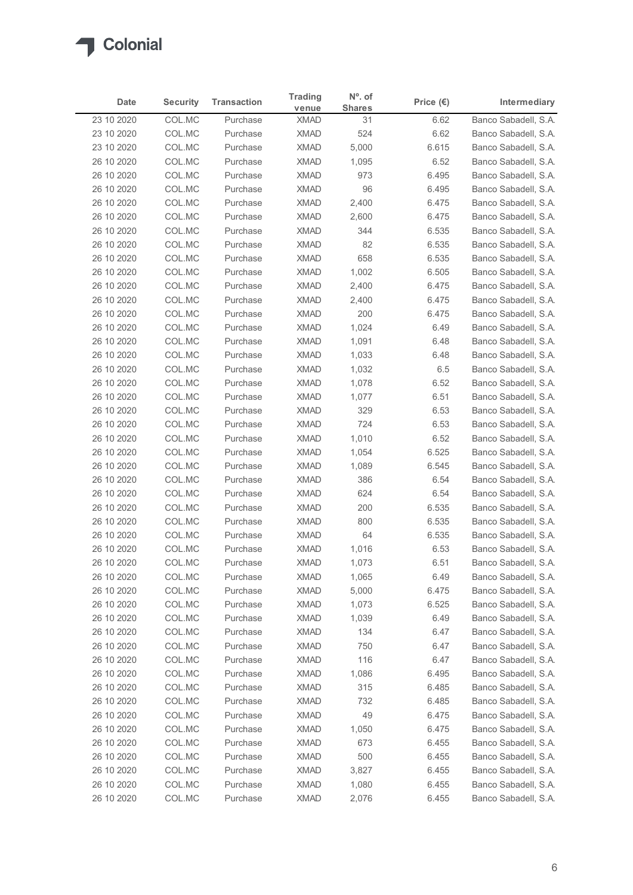

| Date                     | <b>Security</b>  | <b>Transaction</b>   | <b>Trading</b>             | $No$ . of           | Price $(\epsilon)$ | Intermediary                                 |
|--------------------------|------------------|----------------------|----------------------------|---------------------|--------------------|----------------------------------------------|
| 23 10 2020               | COL.MC           | Purchase             | venue<br><b>XMAD</b>       | <b>Shares</b><br>31 | 6.62               | Banco Sabadell, S.A.                         |
| 23 10 2020               | COL.MC           | Purchase             | <b>XMAD</b>                | 524                 | 6.62               | Banco Sabadell, S.A.                         |
| 23 10 2020               | COL.MC           | Purchase             | <b>XMAD</b>                | 5,000               | 6.615              | Banco Sabadell, S.A.                         |
| 26 10 2020               | COL.MC           | Purchase             | <b>XMAD</b>                | 1,095               | 6.52               | Banco Sabadell, S.A.                         |
| 26 10 2020               | COL.MC           | Purchase             | <b>XMAD</b>                | 973                 | 6.495              | Banco Sabadell, S.A.                         |
| 26 10 2020               | COL.MC           | Purchase             | <b>XMAD</b>                | 96                  | 6.495              | Banco Sabadell, S.A.                         |
| 26 10 2020               | COL.MC           | Purchase             | <b>XMAD</b><br><b>XMAD</b> | 2,400               | 6.475              | Banco Sabadell, S.A.                         |
| 26 10 2020<br>26 10 2020 | COL.MC<br>COL.MC | Purchase<br>Purchase | <b>XMAD</b>                | 2,600<br>344        | 6.475<br>6.535     | Banco Sabadell, S.A.<br>Banco Sabadell, S.A. |
| 26 10 2020               | COL.MC           | Purchase             | <b>XMAD</b>                | 82                  | 6.535              | Banco Sabadell, S.A.                         |
| 26 10 2020               | COL.MC           | Purchase             | <b>XMAD</b>                | 658                 | 6.535              | Banco Sabadell, S.A.                         |
| 26 10 2020               | COL.MC           | Purchase             | <b>XMAD</b>                | 1,002               | 6.505              | Banco Sabadell, S.A.                         |
| 26 10 2020               | COL.MC           | Purchase             | <b>XMAD</b>                | 2,400               | 6.475              | Banco Sabadell, S.A.                         |
| 26 10 2020               | COL.MC           | Purchase             | XMAD                       | 2,400               | 6.475              | Banco Sabadell, S.A.                         |
| 26 10 2020               | COL.MC           | Purchase             | <b>XMAD</b>                | 200                 | 6.475              | Banco Sabadell, S.A.                         |
| 26 10 2020               | COL.MC           | Purchase             | XMAD                       | 1,024               | 6.49               | Banco Sabadell, S.A.                         |
| 26 10 2020<br>26 10 2020 | COL.MC<br>COL.MC | Purchase<br>Purchase | <b>XMAD</b><br><b>XMAD</b> | 1,091<br>1,033      | 6.48<br>6.48       | Banco Sabadell, S.A.<br>Banco Sabadell, S.A. |
| 26 10 2020               | COL.MC           | Purchase             | <b>XMAD</b>                | 1,032               | 6.5                | Banco Sabadell, S.A.                         |
| 26 10 2020               | COL.MC           | Purchase             | <b>XMAD</b>                | 1,078               | 6.52               | Banco Sabadell, S.A.                         |
| 26 10 2020               | COL.MC           | Purchase             | <b>XMAD</b>                | 1,077               | 6.51               | Banco Sabadell, S.A.                         |
| 26 10 2020               | COL.MC           | Purchase             | <b>XMAD</b>                | 329                 | 6.53               | Banco Sabadell, S.A.                         |
| 26 10 2020               | COL.MC           | Purchase             | <b>XMAD</b>                | 724                 | 6.53               | Banco Sabadell, S.A.                         |
| 26 10 2020               | COL.MC           | Purchase             | <b>XMAD</b>                | 1,010               | 6.52               | Banco Sabadell, S.A.                         |
| 26 10 2020               | COL.MC           | Purchase             | <b>XMAD</b>                | 1,054               | 6.525              | Banco Sabadell, S.A.                         |
| 26 10 2020               | COL.MC           | Purchase             | <b>XMAD</b>                | 1,089               | 6.545              | Banco Sabadell, S.A.                         |
| 26 10 2020<br>26 10 2020 | COL.MC<br>COL.MC | Purchase<br>Purchase | <b>XMAD</b><br><b>XMAD</b> | 386<br>624          | 6.54<br>6.54       | Banco Sabadell, S.A.<br>Banco Sabadell, S.A. |
| 26 10 2020               | COL.MC           | Purchase             | <b>XMAD</b>                | 200                 | 6.535              | Banco Sabadell, S.A.                         |
| 26 10 2020               | COL.MC           | Purchase             | <b>XMAD</b>                | 800                 | 6.535              | Banco Sabadell, S.A.                         |
| 26 10 2020               | COL.MC           | Purchase             | <b>XMAD</b>                | 64                  | 6.535              | Banco Sabadell, S.A.                         |
| 26 10 2020               | COL.MC           | Purchase             | <b>XMAD</b>                | 1,016               | 6.53               | Banco Sabadell, S.A.                         |
| 26 10 2020               | COL.MC           | Purchase             | <b>XMAD</b>                | 1,073               | 6.51               | Banco Sabadell, S.A.                         |
| 26 10 2020               | COL.MC           | Purchase             | <b>XMAD</b>                | 1,065               | 6.49               | Banco Sabadell, S.A.                         |
| 26 10 2020               | COL.MC           | Purchase             | XMAD                       | 5,000               | 6.475              | Banco Sabadell, S.A.                         |
| 26 10 2020               | COL.MC           | Purchase             | <b>XMAD</b>                | 1,073               | 6.525              | Banco Sabadell, S.A.                         |
| 26 10 2020<br>26 10 2020 | COL.MC<br>COL.MC | Purchase<br>Purchase | <b>XMAD</b><br><b>XMAD</b> | 1,039<br>134        | 6.49<br>6.47       | Banco Sabadell, S.A.<br>Banco Sabadell, S.A. |
| 26 10 2020               | COL.MC           | Purchase             | XMAD                       | 750                 | 6.47               | Banco Sabadell, S.A.                         |
| 26 10 2020               | COL.MC           | Purchase             | <b>XMAD</b>                | 116                 | 6.47               | Banco Sabadell, S.A.                         |
| 26 10 2020               | COL.MC           | Purchase             | <b>XMAD</b>                | 1,086               | 6.495              | Banco Sabadell, S.A.                         |
| 26 10 2020               | COL.MC           | Purchase             | <b>XMAD</b>                | 315                 | 6.485              | Banco Sabadell, S.A.                         |
| 26 10 2020               | COL.MC           | Purchase             | <b>XMAD</b>                | 732                 | 6.485              | Banco Sabadell, S.A.                         |
| 26 10 2020               | COL.MC           | Purchase             | <b>XMAD</b>                | 49                  | 6.475              | Banco Sabadell, S.A.                         |
| 26 10 2020               | COL.MC           | Purchase             | XMAD                       | 1,050               | 6.475              | Banco Sabadell, S.A.                         |
| 26 10 2020               | COL.MC           | Purchase             | <b>XMAD</b>                | 673                 | 6.455              | Banco Sabadell, S.A.                         |
| 26 10 2020<br>26 10 2020 | COL.MC<br>COL.MC | Purchase<br>Purchase | <b>XMAD</b><br><b>XMAD</b> | 500<br>3,827        | 6.455<br>6.455     | Banco Sabadell, S.A.<br>Banco Sabadell, S.A. |
|                          | COL.MC           | Purchase             | <b>XMAD</b>                | 1,080               | 6.455              | Banco Sabadell, S.A.                         |
| 26 10 2020               |                  |                      | <b>XMAD</b>                | 2,076               | 6.455              | Banco Sabadell, S.A.                         |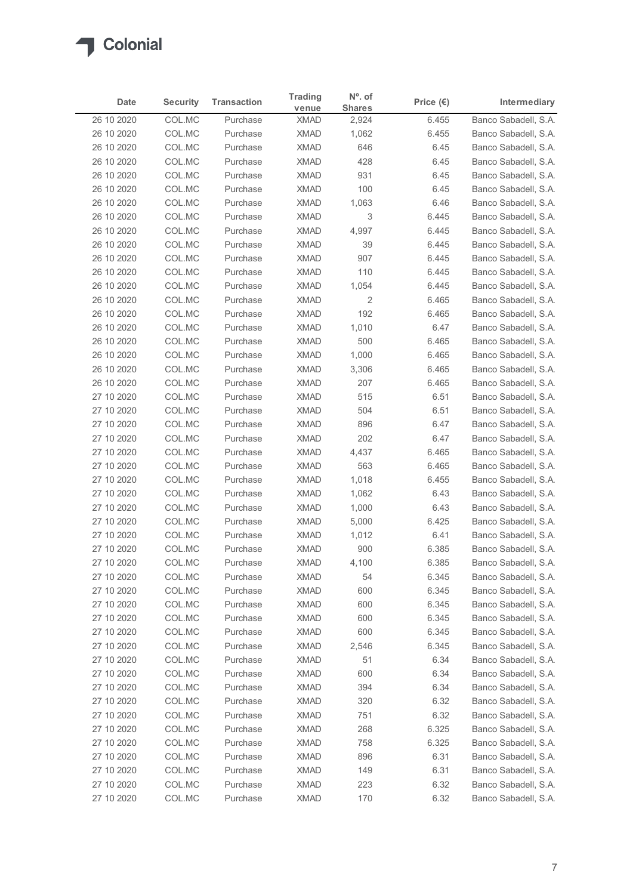

| Date                     | <b>Security</b>  | <b>Transaction</b>   | <b>Trading</b>             | $No$ . of      | Price $(\epsilon)$ | Intermediary                                 |
|--------------------------|------------------|----------------------|----------------------------|----------------|--------------------|----------------------------------------------|
|                          |                  |                      | venue                      | <b>Shares</b>  |                    | Banco Sabadell, S.A.                         |
| 26 10 2020<br>26 10 2020 | COL.MC<br>COL.MC | Purchase<br>Purchase | <b>XMAD</b><br><b>XMAD</b> | 2,924<br>1,062 | 6.455<br>6.455     | Banco Sabadell, S.A.                         |
| 26 10 2020               | COL.MC           | Purchase             | <b>XMAD</b>                | 646            | 6.45               | Banco Sabadell, S.A.                         |
| 26 10 2020               | COL.MC           | Purchase             | <b>XMAD</b>                | 428            | 6.45               | Banco Sabadell, S.A.                         |
| 26 10 2020               | COL.MC           | Purchase             | <b>XMAD</b>                | 931            | 6.45               | Banco Sabadell, S.A.                         |
| 26 10 2020               | COL.MC           | Purchase             | <b>XMAD</b>                | 100            | 6.45               | Banco Sabadell, S.A.                         |
| 26 10 2020               | COL.MC           | Purchase             | <b>XMAD</b>                | 1,063          | 6.46               | Banco Sabadell, S.A.                         |
| 26 10 2020<br>26 10 2020 | COL.MC<br>COL.MC | Purchase<br>Purchase | <b>XMAD</b><br><b>XMAD</b> | 3<br>4,997     | 6.445<br>6.445     | Banco Sabadell, S.A.<br>Banco Sabadell, S.A. |
| 26 10 2020               | COL.MC           | Purchase             | <b>XMAD</b>                | 39             | 6.445              | Banco Sabadell, S.A.                         |
| 26 10 2020               | COL.MC           | Purchase             | <b>XMAD</b>                | 907            | 6.445              | Banco Sabadell, S.A.                         |
| 26 10 2020               | COL.MC           | Purchase             | <b>XMAD</b>                | 110            | 6.445              | Banco Sabadell, S.A.                         |
| 26 10 2020               | COL.MC           | Purchase             | <b>XMAD</b>                | 1,054          | 6.445              | Banco Sabadell, S.A.                         |
| 26 10 2020               | COL.MC           | Purchase             | XMAD                       | $\overline{2}$ | 6.465              | Banco Sabadell, S.A.                         |
| 26 10 2020               | COL.MC           | Purchase             | <b>XMAD</b>                | 192            | 6.465              | Banco Sabadell, S.A.                         |
| 26 10 2020               | COL.MC           | Purchase             | XMAD                       | 1,010          | 6.47               | Banco Sabadell, S.A.                         |
| 26 10 2020<br>26 10 2020 | COL.MC<br>COL.MC | Purchase<br>Purchase | <b>XMAD</b><br><b>XMAD</b> | 500<br>1,000   | 6.465<br>6.465     | Banco Sabadell, S.A.<br>Banco Sabadell, S.A. |
| 26 10 2020               | COL.MC           | Purchase             | <b>XMAD</b>                | 3,306          | 6.465              | Banco Sabadell, S.A.                         |
| 26 10 2020               | COL.MC           | Purchase             | <b>XMAD</b>                | 207            | 6.465              | Banco Sabadell, S.A.                         |
| 27 10 2020               | COL.MC           | Purchase             | <b>XMAD</b>                | 515            | 6.51               | Banco Sabadell, S.A.                         |
| 27 10 2020               | COL.MC           | Purchase             | <b>XMAD</b>                | 504            | 6.51               | Banco Sabadell, S.A.                         |
| 27 10 2020               | COL.MC           | Purchase             | <b>XMAD</b>                | 896            | 6.47               | Banco Sabadell, S.A.                         |
| 27 10 2020               | COL.MC           | Purchase             | <b>XMAD</b>                | 202            | 6.47               | Banco Sabadell, S.A.                         |
| 27 10 2020               | COL.MC           | Purchase             | <b>XMAD</b>                | 4,437          | 6.465              | Banco Sabadell, S.A.                         |
| 27 10 2020<br>27 10 2020 | COL.MC<br>COL.MC | Purchase<br>Purchase | <b>XMAD</b><br><b>XMAD</b> | 563<br>1,018   | 6.465<br>6.455     | Banco Sabadell, S.A.<br>Banco Sabadell, S.A. |
| 27 10 2020               | COL.MC           | Purchase             | <b>XMAD</b>                | 1,062          | 6.43               | Banco Sabadell, S.A.                         |
| 27 10 2020               | COL.MC           | Purchase             | <b>XMAD</b>                | 1,000          | 6.43               | Banco Sabadell, S.A.                         |
| 27 10 2020               | COL.MC           | Purchase             | <b>XMAD</b>                | 5,000          | 6.425              | Banco Sabadell, S.A.                         |
| 27 10 2020               | COL.MC           | Purchase             | <b>XMAD</b>                | 1,012          | 6.41               | Banco Sabadell, S.A.                         |
| 27 10 2020               | COL.MC           | Purchase             | <b>XMAD</b>                | 900            | 6.385              | Banco Sabadell, S.A.                         |
| 27 10 2020               | COL.MC           | Purchase             | <b>XMAD</b>                | 4,100          | 6.385              | Banco Sabadell, S.A.                         |
| 27 10 2020               | COL.MC           | Purchase             | <b>XMAD</b>                | 54             | 6.345              | Banco Sabadell, S.A.                         |
| 27 10 2020               | COL.MC           | Purchase             | XMAD                       | 600            | 6.345              | Banco Sabadell, S.A.                         |
| 27 10 2020<br>27 10 2020 | COL.MC<br>COL.MC | Purchase<br>Purchase | <b>XMAD</b><br><b>XMAD</b> | 600<br>600     | 6.345<br>6.345     | Banco Sabadell, S.A.<br>Banco Sabadell, S.A. |
| 27 10 2020               | COL.MC           | Purchase             | <b>XMAD</b>                | 600            | 6.345              | Banco Sabadell, S.A.                         |
| 27 10 2020               | COL.MC           | Purchase             | XMAD                       | 2,546          | 6.345              | Banco Sabadell, S.A.                         |
| 27 10 2020               | COL.MC           | Purchase             | <b>XMAD</b>                | 51             | 6.34               | Banco Sabadell, S.A.                         |
| 27 10 2020               | COL.MC           | Purchase             | <b>XMAD</b>                | 600            | 6.34               | Banco Sabadell, S.A.                         |
| 27 10 2020               | COL.MC           | Purchase             | <b>XMAD</b>                | 394            | 6.34               | Banco Sabadell, S.A.                         |
| 27 10 2020               | COL.MC           | Purchase             | <b>XMAD</b>                | 320            | 6.32               | Banco Sabadell, S.A.                         |
| 27 10 2020               | COL.MC           | Purchase             | <b>XMAD</b>                | 751            | 6.32               | Banco Sabadell, S.A.                         |
| 27 10 2020               | COL.MC           | Purchase             | XMAD                       | 268            | 6.325              | Banco Sabadell, S.A.                         |
| 27 10 2020               | COL.MC<br>COL.MC | Purchase<br>Purchase | <b>XMAD</b><br><b>XMAD</b> | 758<br>896     | 6.325<br>6.31      | Banco Sabadell, S.A.<br>Banco Sabadell, S.A. |
| 27 10 2020<br>27 10 2020 | COL.MC           | Purchase             | <b>XMAD</b>                | 149            | 6.31               | Banco Sabadell, S.A.                         |
|                          | COL.MC           | Purchase             | <b>XMAD</b>                | 223            | 6.32               | Banco Sabadell, S.A.                         |
| 27 10 2020               |                  | Purchase             | <b>XMAD</b>                | 170            | 6.32               | Banco Sabadell, S.A.                         |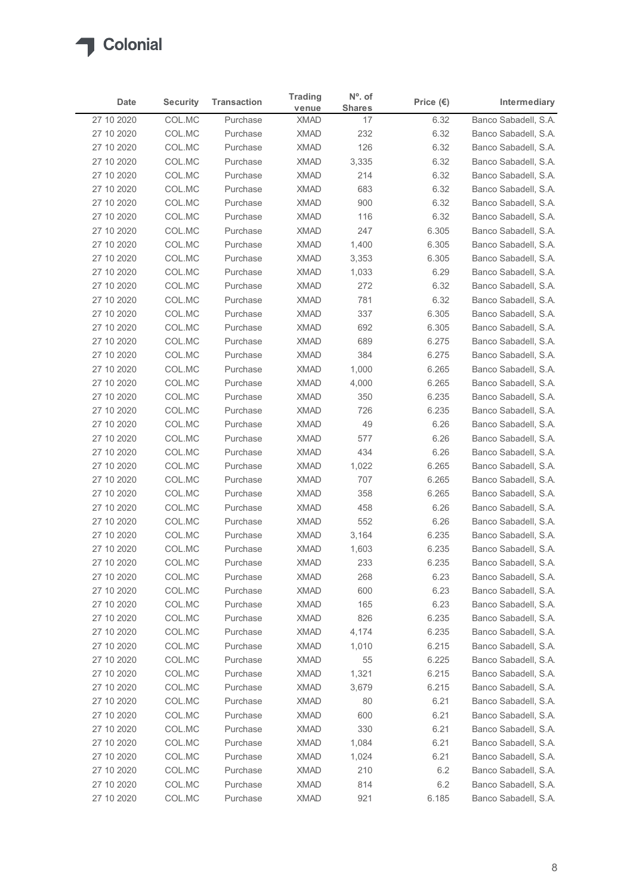

| <b>Security</b><br><b>Transaction</b><br>Intermediary<br>Date<br>Price $(\epsilon)$<br><b>Shares</b><br>venue<br>Banco Sabadell, S.A.<br>27 10 2020<br>COL.MC<br><b>XMAD</b><br>6.32<br>Purchase<br>17<br>COL.MC<br><b>XMAD</b><br>232<br>6.32<br>Banco Sabadell, S.A.<br>27 10 2020<br>Purchase<br>COL.MC<br><b>XMAD</b><br>126<br>6.32<br>Banco Sabadell, S.A.<br>27 10 2020<br>Purchase<br><b>XMAD</b><br>27 10 2020<br>COL.MC<br>Purchase<br>3,335<br>6.32<br>Banco Sabadell, S.A.<br>COL.MC<br><b>XMAD</b><br>214<br>27 10 2020<br>Purchase<br>6.32<br>Banco Sabadell, S.A.<br>COL.MC<br><b>XMAD</b><br>683<br>Banco Sabadell, S.A.<br>27 10 2020<br>Purchase<br>6.32<br>27 10 2020<br>COL.MC<br><b>XMAD</b><br>900<br>Banco Sabadell, S.A.<br>Purchase<br>6.32<br>27 10 2020<br>COL.MC<br>Purchase<br><b>XMAD</b><br>116<br>6.32<br>Banco Sabadell, S.A.<br>COL.MC<br>247<br>27 10 2020<br><b>XMAD</b><br>6.305<br>Banco Sabadell, S.A.<br>Purchase<br>COL.MC<br><b>XMAD</b><br>27 10 2020<br>Purchase<br>1,400<br>6.305<br>Banco Sabadell, S.A.<br>COL.MC<br><b>XMAD</b><br>27 10 2020<br>Purchase<br>3,353<br>6.305<br>Banco Sabadell, S.A.<br>COL.MC<br><b>XMAD</b><br>6.29<br>Banco Sabadell, S.A.<br>27 10 2020<br>Purchase<br>1,033<br><b>XMAD</b><br>272<br>27 10 2020<br>COL.MC<br>Purchase<br>6.32<br>Banco Sabadell, S.A.<br>781<br>6.32<br>27 10 2020<br>COL.MC<br>XMAD<br>Banco Sabadell, S.A.<br>Purchase<br>6.305<br>Banco Sabadell, S.A.<br>27 10 2020<br>COL.MC<br>Purchase<br><b>XMAD</b><br>337<br>XMAD<br>6.305<br>27 10 2020<br>COL.MC<br>Purchase<br>692<br>Banco Sabadell, S.A.<br><b>XMAD</b><br>6.275<br>27 10 2020<br>COL.MC<br>Purchase<br>689<br>Banco Sabadell, S.A.<br>COL.MC<br><b>XMAD</b><br>6.275<br>Banco Sabadell, S.A.<br>27 10 2020<br>Purchase<br>384<br><b>XMAD</b><br>6.265<br>Banco Sabadell, S.A.<br>27 10 2020<br>COL.MC<br>Purchase<br>1,000<br>6.265<br>27 10 2020<br>COL.MC<br>Purchase<br><b>XMAD</b><br>4,000<br>Banco Sabadell, S.A.<br><b>XMAD</b><br>6.235<br>27 10 2020<br>COL.MC<br>350<br>Banco Sabadell, S.A.<br>Purchase<br>27 10 2020<br>COL.MC<br>XMAD<br>726<br>6.235<br>Banco Sabadell, S.A.<br>Purchase<br>XMAD<br>49<br>27 10 2020<br>COL.MC<br>Purchase<br>6.26<br>Banco Sabadell, S.A.<br>27 10 2020<br>COL.MC<br>Purchase<br><b>XMAD</b><br>577<br>6.26<br>Banco Sabadell, S.A.<br><b>XMAD</b><br>434<br>6.26<br>Banco Sabadell, S.A.<br>27 10 2020<br>COL.MC<br>Purchase<br>COL.MC<br>27 10 2020<br>Purchase<br><b>XMAD</b><br>1,022<br>6.265<br>Banco Sabadell, S.A.<br>6.265<br>27 10 2020<br>COL.MC<br><b>XMAD</b><br>707<br>Banco Sabadell, S.A.<br>Purchase<br><b>XMAD</b><br>6.265<br>27 10 2020<br>COL.MC<br>358<br>Banco Sabadell, S.A.<br>Purchase<br>COL.MC<br><b>XMAD</b><br>458<br>6.26<br>Banco Sabadell, S.A.<br>27 10 2020<br>Purchase<br>COL.MC<br><b>XMAD</b><br>27 10 2020<br>Purchase<br>552<br>6.26<br>Banco Sabadell, S.A.<br><b>XMAD</b><br>27 10 2020<br>COL.MC<br>Purchase<br>3,164<br>6.235<br>Banco Sabadell, S.A.<br>6.235<br>27 10 2020<br>COL.MC<br>Purchase<br><b>XMAD</b><br>1,603<br>Banco Sabadell, S.A.<br><b>XMAD</b><br>6.235<br>27 10 2020<br>COL.MC<br>Purchase<br>233<br>Banco Sabadell, S.A.<br><b>XMAD</b><br>268<br>6.23<br>27 10 2020<br>COL.MC<br>Purchase<br>Banco Sabadell, S.A.<br>6.23<br>27 10 2020<br>COL.MC<br>Purchase<br>XMAD<br>600<br>Banco Sabadell, S.A.<br>27 10 2020<br>COL.MC<br>Purchase<br><b>XMAD</b><br>165<br>6.23<br>Banco Sabadell, S.A.<br>27 10 2020<br>COL.MC<br>Purchase<br><b>XMAD</b><br>826<br>6.235<br>Banco Sabadell, S.A.<br>COL.MC<br>6.235<br>27 10 2020<br><b>XMAD</b><br>4,174<br>Banco Sabadell, S.A.<br>Purchase<br><b>XMAD</b><br>6.215<br>27 10 2020<br>COL.MC<br>Purchase<br>1,010<br>Banco Sabadell, S.A.<br><b>XMAD</b><br>6.225<br>27 10 2020<br>COL.MC<br>Purchase<br>55<br>Banco Sabadell, S.A.<br>COL.MC<br><b>XMAD</b><br>6.215<br>Banco Sabadell, S.A.<br>27 10 2020<br>Purchase<br>1,321<br><b>XMAD</b><br>27 10 2020<br>COL.MC<br>Purchase<br>3,679<br>6.215<br>Banco Sabadell, S.A.<br>80<br>6.21<br>27 10 2020<br>COL.MC<br>Purchase<br><b>XMAD</b><br>Banco Sabadell, S.A.<br>600<br>6.21<br>Banco Sabadell, S.A.<br>27 10 2020<br>COL.MC<br><b>XMAD</b><br>Purchase<br><b>XMAD</b><br>330<br>6.21<br>27 10 2020<br>COL.MC<br>Purchase<br><b>XMAD</b><br>6.21<br>27 10 2020<br>COL.MC<br>Purchase<br>1,084<br>Banco Sabadell, S.A. |
|---------------------------------------------------------------------------------------------------------------------------------------------------------------------------------------------------------------------------------------------------------------------------------------------------------------------------------------------------------------------------------------------------------------------------------------------------------------------------------------------------------------------------------------------------------------------------------------------------------------------------------------------------------------------------------------------------------------------------------------------------------------------------------------------------------------------------------------------------------------------------------------------------------------------------------------------------------------------------------------------------------------------------------------------------------------------------------------------------------------------------------------------------------------------------------------------------------------------------------------------------------------------------------------------------------------------------------------------------------------------------------------------------------------------------------------------------------------------------------------------------------------------------------------------------------------------------------------------------------------------------------------------------------------------------------------------------------------------------------------------------------------------------------------------------------------------------------------------------------------------------------------------------------------------------------------------------------------------------------------------------------------------------------------------------------------------------------------------------------------------------------------------------------------------------------------------------------------------------------------------------------------------------------------------------------------------------------------------------------------------------------------------------------------------------------------------------------------------------------------------------------------------------------------------------------------------------------------------------------------------------------------------------------------------------------------------------------------------------------------------------------------------------------------------------------------------------------------------------------------------------------------------------------------------------------------------------------------------------------------------------------------------------------------------------------------------------------------------------------------------------------------------------------------------------------------------------------------------------------------------------------------------------------------------------------------------------------------------------------------------------------------------------------------------------------------------------------------------------------------------------------------------------------------------------------------------------------------------------------------------------------------------------------------------------------------------------------------------------------------------------------------------------------------------------------------------------------------------------------------------------------------------------------------------------------------------------------------------------------------------------------------------------------------------------------------------------------------------------------------------------------------------------------------------------------------------------------------------------------------------------------------------------------------------------------------------------------------------------------------------------------------------------------------|
| Banco Sabadell, S.A.                                                                                                                                                                                                                                                                                                                                                                                                                                                                                                                                                                                                                                                                                                                                                                                                                                                                                                                                                                                                                                                                                                                                                                                                                                                                                                                                                                                                                                                                                                                                                                                                                                                                                                                                                                                                                                                                                                                                                                                                                                                                                                                                                                                                                                                                                                                                                                                                                                                                                                                                                                                                                                                                                                                                                                                                                                                                                                                                                                                                                                                                                                                                                                                                                                                                                                                                                                                                                                                                                                                                                                                                                                                                                                                                                                                                                                                                                                                                                                                                                                                                                                                                                                                                                                                                                                                                                                                          |
|                                                                                                                                                                                                                                                                                                                                                                                                                                                                                                                                                                                                                                                                                                                                                                                                                                                                                                                                                                                                                                                                                                                                                                                                                                                                                                                                                                                                                                                                                                                                                                                                                                                                                                                                                                                                                                                                                                                                                                                                                                                                                                                                                                                                                                                                                                                                                                                                                                                                                                                                                                                                                                                                                                                                                                                                                                                                                                                                                                                                                                                                                                                                                                                                                                                                                                                                                                                                                                                                                                                                                                                                                                                                                                                                                                                                                                                                                                                                                                                                                                                                                                                                                                                                                                                                                                                                                                                                               |
|                                                                                                                                                                                                                                                                                                                                                                                                                                                                                                                                                                                                                                                                                                                                                                                                                                                                                                                                                                                                                                                                                                                                                                                                                                                                                                                                                                                                                                                                                                                                                                                                                                                                                                                                                                                                                                                                                                                                                                                                                                                                                                                                                                                                                                                                                                                                                                                                                                                                                                                                                                                                                                                                                                                                                                                                                                                                                                                                                                                                                                                                                                                                                                                                                                                                                                                                                                                                                                                                                                                                                                                                                                                                                                                                                                                                                                                                                                                                                                                                                                                                                                                                                                                                                                                                                                                                                                                                               |
|                                                                                                                                                                                                                                                                                                                                                                                                                                                                                                                                                                                                                                                                                                                                                                                                                                                                                                                                                                                                                                                                                                                                                                                                                                                                                                                                                                                                                                                                                                                                                                                                                                                                                                                                                                                                                                                                                                                                                                                                                                                                                                                                                                                                                                                                                                                                                                                                                                                                                                                                                                                                                                                                                                                                                                                                                                                                                                                                                                                                                                                                                                                                                                                                                                                                                                                                                                                                                                                                                                                                                                                                                                                                                                                                                                                                                                                                                                                                                                                                                                                                                                                                                                                                                                                                                                                                                                                                               |
|                                                                                                                                                                                                                                                                                                                                                                                                                                                                                                                                                                                                                                                                                                                                                                                                                                                                                                                                                                                                                                                                                                                                                                                                                                                                                                                                                                                                                                                                                                                                                                                                                                                                                                                                                                                                                                                                                                                                                                                                                                                                                                                                                                                                                                                                                                                                                                                                                                                                                                                                                                                                                                                                                                                                                                                                                                                                                                                                                                                                                                                                                                                                                                                                                                                                                                                                                                                                                                                                                                                                                                                                                                                                                                                                                                                                                                                                                                                                                                                                                                                                                                                                                                                                                                                                                                                                                                                                               |
|                                                                                                                                                                                                                                                                                                                                                                                                                                                                                                                                                                                                                                                                                                                                                                                                                                                                                                                                                                                                                                                                                                                                                                                                                                                                                                                                                                                                                                                                                                                                                                                                                                                                                                                                                                                                                                                                                                                                                                                                                                                                                                                                                                                                                                                                                                                                                                                                                                                                                                                                                                                                                                                                                                                                                                                                                                                                                                                                                                                                                                                                                                                                                                                                                                                                                                                                                                                                                                                                                                                                                                                                                                                                                                                                                                                                                                                                                                                                                                                                                                                                                                                                                                                                                                                                                                                                                                                                               |
|                                                                                                                                                                                                                                                                                                                                                                                                                                                                                                                                                                                                                                                                                                                                                                                                                                                                                                                                                                                                                                                                                                                                                                                                                                                                                                                                                                                                                                                                                                                                                                                                                                                                                                                                                                                                                                                                                                                                                                                                                                                                                                                                                                                                                                                                                                                                                                                                                                                                                                                                                                                                                                                                                                                                                                                                                                                                                                                                                                                                                                                                                                                                                                                                                                                                                                                                                                                                                                                                                                                                                                                                                                                                                                                                                                                                                                                                                                                                                                                                                                                                                                                                                                                                                                                                                                                                                                                                               |
|                                                                                                                                                                                                                                                                                                                                                                                                                                                                                                                                                                                                                                                                                                                                                                                                                                                                                                                                                                                                                                                                                                                                                                                                                                                                                                                                                                                                                                                                                                                                                                                                                                                                                                                                                                                                                                                                                                                                                                                                                                                                                                                                                                                                                                                                                                                                                                                                                                                                                                                                                                                                                                                                                                                                                                                                                                                                                                                                                                                                                                                                                                                                                                                                                                                                                                                                                                                                                                                                                                                                                                                                                                                                                                                                                                                                                                                                                                                                                                                                                                                                                                                                                                                                                                                                                                                                                                                                               |
|                                                                                                                                                                                                                                                                                                                                                                                                                                                                                                                                                                                                                                                                                                                                                                                                                                                                                                                                                                                                                                                                                                                                                                                                                                                                                                                                                                                                                                                                                                                                                                                                                                                                                                                                                                                                                                                                                                                                                                                                                                                                                                                                                                                                                                                                                                                                                                                                                                                                                                                                                                                                                                                                                                                                                                                                                                                                                                                                                                                                                                                                                                                                                                                                                                                                                                                                                                                                                                                                                                                                                                                                                                                                                                                                                                                                                                                                                                                                                                                                                                                                                                                                                                                                                                                                                                                                                                                                               |
|                                                                                                                                                                                                                                                                                                                                                                                                                                                                                                                                                                                                                                                                                                                                                                                                                                                                                                                                                                                                                                                                                                                                                                                                                                                                                                                                                                                                                                                                                                                                                                                                                                                                                                                                                                                                                                                                                                                                                                                                                                                                                                                                                                                                                                                                                                                                                                                                                                                                                                                                                                                                                                                                                                                                                                                                                                                                                                                                                                                                                                                                                                                                                                                                                                                                                                                                                                                                                                                                                                                                                                                                                                                                                                                                                                                                                                                                                                                                                                                                                                                                                                                                                                                                                                                                                                                                                                                                               |
|                                                                                                                                                                                                                                                                                                                                                                                                                                                                                                                                                                                                                                                                                                                                                                                                                                                                                                                                                                                                                                                                                                                                                                                                                                                                                                                                                                                                                                                                                                                                                                                                                                                                                                                                                                                                                                                                                                                                                                                                                                                                                                                                                                                                                                                                                                                                                                                                                                                                                                                                                                                                                                                                                                                                                                                                                                                                                                                                                                                                                                                                                                                                                                                                                                                                                                                                                                                                                                                                                                                                                                                                                                                                                                                                                                                                                                                                                                                                                                                                                                                                                                                                                                                                                                                                                                                                                                                                               |
|                                                                                                                                                                                                                                                                                                                                                                                                                                                                                                                                                                                                                                                                                                                                                                                                                                                                                                                                                                                                                                                                                                                                                                                                                                                                                                                                                                                                                                                                                                                                                                                                                                                                                                                                                                                                                                                                                                                                                                                                                                                                                                                                                                                                                                                                                                                                                                                                                                                                                                                                                                                                                                                                                                                                                                                                                                                                                                                                                                                                                                                                                                                                                                                                                                                                                                                                                                                                                                                                                                                                                                                                                                                                                                                                                                                                                                                                                                                                                                                                                                                                                                                                                                                                                                                                                                                                                                                                               |
|                                                                                                                                                                                                                                                                                                                                                                                                                                                                                                                                                                                                                                                                                                                                                                                                                                                                                                                                                                                                                                                                                                                                                                                                                                                                                                                                                                                                                                                                                                                                                                                                                                                                                                                                                                                                                                                                                                                                                                                                                                                                                                                                                                                                                                                                                                                                                                                                                                                                                                                                                                                                                                                                                                                                                                                                                                                                                                                                                                                                                                                                                                                                                                                                                                                                                                                                                                                                                                                                                                                                                                                                                                                                                                                                                                                                                                                                                                                                                                                                                                                                                                                                                                                                                                                                                                                                                                                                               |
|                                                                                                                                                                                                                                                                                                                                                                                                                                                                                                                                                                                                                                                                                                                                                                                                                                                                                                                                                                                                                                                                                                                                                                                                                                                                                                                                                                                                                                                                                                                                                                                                                                                                                                                                                                                                                                                                                                                                                                                                                                                                                                                                                                                                                                                                                                                                                                                                                                                                                                                                                                                                                                                                                                                                                                                                                                                                                                                                                                                                                                                                                                                                                                                                                                                                                                                                                                                                                                                                                                                                                                                                                                                                                                                                                                                                                                                                                                                                                                                                                                                                                                                                                                                                                                                                                                                                                                                                               |
|                                                                                                                                                                                                                                                                                                                                                                                                                                                                                                                                                                                                                                                                                                                                                                                                                                                                                                                                                                                                                                                                                                                                                                                                                                                                                                                                                                                                                                                                                                                                                                                                                                                                                                                                                                                                                                                                                                                                                                                                                                                                                                                                                                                                                                                                                                                                                                                                                                                                                                                                                                                                                                                                                                                                                                                                                                                                                                                                                                                                                                                                                                                                                                                                                                                                                                                                                                                                                                                                                                                                                                                                                                                                                                                                                                                                                                                                                                                                                                                                                                                                                                                                                                                                                                                                                                                                                                                                               |
|                                                                                                                                                                                                                                                                                                                                                                                                                                                                                                                                                                                                                                                                                                                                                                                                                                                                                                                                                                                                                                                                                                                                                                                                                                                                                                                                                                                                                                                                                                                                                                                                                                                                                                                                                                                                                                                                                                                                                                                                                                                                                                                                                                                                                                                                                                                                                                                                                                                                                                                                                                                                                                                                                                                                                                                                                                                                                                                                                                                                                                                                                                                                                                                                                                                                                                                                                                                                                                                                                                                                                                                                                                                                                                                                                                                                                                                                                                                                                                                                                                                                                                                                                                                                                                                                                                                                                                                                               |
|                                                                                                                                                                                                                                                                                                                                                                                                                                                                                                                                                                                                                                                                                                                                                                                                                                                                                                                                                                                                                                                                                                                                                                                                                                                                                                                                                                                                                                                                                                                                                                                                                                                                                                                                                                                                                                                                                                                                                                                                                                                                                                                                                                                                                                                                                                                                                                                                                                                                                                                                                                                                                                                                                                                                                                                                                                                                                                                                                                                                                                                                                                                                                                                                                                                                                                                                                                                                                                                                                                                                                                                                                                                                                                                                                                                                                                                                                                                                                                                                                                                                                                                                                                                                                                                                                                                                                                                                               |
|                                                                                                                                                                                                                                                                                                                                                                                                                                                                                                                                                                                                                                                                                                                                                                                                                                                                                                                                                                                                                                                                                                                                                                                                                                                                                                                                                                                                                                                                                                                                                                                                                                                                                                                                                                                                                                                                                                                                                                                                                                                                                                                                                                                                                                                                                                                                                                                                                                                                                                                                                                                                                                                                                                                                                                                                                                                                                                                                                                                                                                                                                                                                                                                                                                                                                                                                                                                                                                                                                                                                                                                                                                                                                                                                                                                                                                                                                                                                                                                                                                                                                                                                                                                                                                                                                                                                                                                                               |
|                                                                                                                                                                                                                                                                                                                                                                                                                                                                                                                                                                                                                                                                                                                                                                                                                                                                                                                                                                                                                                                                                                                                                                                                                                                                                                                                                                                                                                                                                                                                                                                                                                                                                                                                                                                                                                                                                                                                                                                                                                                                                                                                                                                                                                                                                                                                                                                                                                                                                                                                                                                                                                                                                                                                                                                                                                                                                                                                                                                                                                                                                                                                                                                                                                                                                                                                                                                                                                                                                                                                                                                                                                                                                                                                                                                                                                                                                                                                                                                                                                                                                                                                                                                                                                                                                                                                                                                                               |
|                                                                                                                                                                                                                                                                                                                                                                                                                                                                                                                                                                                                                                                                                                                                                                                                                                                                                                                                                                                                                                                                                                                                                                                                                                                                                                                                                                                                                                                                                                                                                                                                                                                                                                                                                                                                                                                                                                                                                                                                                                                                                                                                                                                                                                                                                                                                                                                                                                                                                                                                                                                                                                                                                                                                                                                                                                                                                                                                                                                                                                                                                                                                                                                                                                                                                                                                                                                                                                                                                                                                                                                                                                                                                                                                                                                                                                                                                                                                                                                                                                                                                                                                                                                                                                                                                                                                                                                                               |
|                                                                                                                                                                                                                                                                                                                                                                                                                                                                                                                                                                                                                                                                                                                                                                                                                                                                                                                                                                                                                                                                                                                                                                                                                                                                                                                                                                                                                                                                                                                                                                                                                                                                                                                                                                                                                                                                                                                                                                                                                                                                                                                                                                                                                                                                                                                                                                                                                                                                                                                                                                                                                                                                                                                                                                                                                                                                                                                                                                                                                                                                                                                                                                                                                                                                                                                                                                                                                                                                                                                                                                                                                                                                                                                                                                                                                                                                                                                                                                                                                                                                                                                                                                                                                                                                                                                                                                                                               |
|                                                                                                                                                                                                                                                                                                                                                                                                                                                                                                                                                                                                                                                                                                                                                                                                                                                                                                                                                                                                                                                                                                                                                                                                                                                                                                                                                                                                                                                                                                                                                                                                                                                                                                                                                                                                                                                                                                                                                                                                                                                                                                                                                                                                                                                                                                                                                                                                                                                                                                                                                                                                                                                                                                                                                                                                                                                                                                                                                                                                                                                                                                                                                                                                                                                                                                                                                                                                                                                                                                                                                                                                                                                                                                                                                                                                                                                                                                                                                                                                                                                                                                                                                                                                                                                                                                                                                                                                               |
|                                                                                                                                                                                                                                                                                                                                                                                                                                                                                                                                                                                                                                                                                                                                                                                                                                                                                                                                                                                                                                                                                                                                                                                                                                                                                                                                                                                                                                                                                                                                                                                                                                                                                                                                                                                                                                                                                                                                                                                                                                                                                                                                                                                                                                                                                                                                                                                                                                                                                                                                                                                                                                                                                                                                                                                                                                                                                                                                                                                                                                                                                                                                                                                                                                                                                                                                                                                                                                                                                                                                                                                                                                                                                                                                                                                                                                                                                                                                                                                                                                                                                                                                                                                                                                                                                                                                                                                                               |
|                                                                                                                                                                                                                                                                                                                                                                                                                                                                                                                                                                                                                                                                                                                                                                                                                                                                                                                                                                                                                                                                                                                                                                                                                                                                                                                                                                                                                                                                                                                                                                                                                                                                                                                                                                                                                                                                                                                                                                                                                                                                                                                                                                                                                                                                                                                                                                                                                                                                                                                                                                                                                                                                                                                                                                                                                                                                                                                                                                                                                                                                                                                                                                                                                                                                                                                                                                                                                                                                                                                                                                                                                                                                                                                                                                                                                                                                                                                                                                                                                                                                                                                                                                                                                                                                                                                                                                                                               |
|                                                                                                                                                                                                                                                                                                                                                                                                                                                                                                                                                                                                                                                                                                                                                                                                                                                                                                                                                                                                                                                                                                                                                                                                                                                                                                                                                                                                                                                                                                                                                                                                                                                                                                                                                                                                                                                                                                                                                                                                                                                                                                                                                                                                                                                                                                                                                                                                                                                                                                                                                                                                                                                                                                                                                                                                                                                                                                                                                                                                                                                                                                                                                                                                                                                                                                                                                                                                                                                                                                                                                                                                                                                                                                                                                                                                                                                                                                                                                                                                                                                                                                                                                                                                                                                                                                                                                                                                               |
|                                                                                                                                                                                                                                                                                                                                                                                                                                                                                                                                                                                                                                                                                                                                                                                                                                                                                                                                                                                                                                                                                                                                                                                                                                                                                                                                                                                                                                                                                                                                                                                                                                                                                                                                                                                                                                                                                                                                                                                                                                                                                                                                                                                                                                                                                                                                                                                                                                                                                                                                                                                                                                                                                                                                                                                                                                                                                                                                                                                                                                                                                                                                                                                                                                                                                                                                                                                                                                                                                                                                                                                                                                                                                                                                                                                                                                                                                                                                                                                                                                                                                                                                                                                                                                                                                                                                                                                                               |
|                                                                                                                                                                                                                                                                                                                                                                                                                                                                                                                                                                                                                                                                                                                                                                                                                                                                                                                                                                                                                                                                                                                                                                                                                                                                                                                                                                                                                                                                                                                                                                                                                                                                                                                                                                                                                                                                                                                                                                                                                                                                                                                                                                                                                                                                                                                                                                                                                                                                                                                                                                                                                                                                                                                                                                                                                                                                                                                                                                                                                                                                                                                                                                                                                                                                                                                                                                                                                                                                                                                                                                                                                                                                                                                                                                                                                                                                                                                                                                                                                                                                                                                                                                                                                                                                                                                                                                                                               |
|                                                                                                                                                                                                                                                                                                                                                                                                                                                                                                                                                                                                                                                                                                                                                                                                                                                                                                                                                                                                                                                                                                                                                                                                                                                                                                                                                                                                                                                                                                                                                                                                                                                                                                                                                                                                                                                                                                                                                                                                                                                                                                                                                                                                                                                                                                                                                                                                                                                                                                                                                                                                                                                                                                                                                                                                                                                                                                                                                                                                                                                                                                                                                                                                                                                                                                                                                                                                                                                                                                                                                                                                                                                                                                                                                                                                                                                                                                                                                                                                                                                                                                                                                                                                                                                                                                                                                                                                               |
|                                                                                                                                                                                                                                                                                                                                                                                                                                                                                                                                                                                                                                                                                                                                                                                                                                                                                                                                                                                                                                                                                                                                                                                                                                                                                                                                                                                                                                                                                                                                                                                                                                                                                                                                                                                                                                                                                                                                                                                                                                                                                                                                                                                                                                                                                                                                                                                                                                                                                                                                                                                                                                                                                                                                                                                                                                                                                                                                                                                                                                                                                                                                                                                                                                                                                                                                                                                                                                                                                                                                                                                                                                                                                                                                                                                                                                                                                                                                                                                                                                                                                                                                                                                                                                                                                                                                                                                                               |
|                                                                                                                                                                                                                                                                                                                                                                                                                                                                                                                                                                                                                                                                                                                                                                                                                                                                                                                                                                                                                                                                                                                                                                                                                                                                                                                                                                                                                                                                                                                                                                                                                                                                                                                                                                                                                                                                                                                                                                                                                                                                                                                                                                                                                                                                                                                                                                                                                                                                                                                                                                                                                                                                                                                                                                                                                                                                                                                                                                                                                                                                                                                                                                                                                                                                                                                                                                                                                                                                                                                                                                                                                                                                                                                                                                                                                                                                                                                                                                                                                                                                                                                                                                                                                                                                                                                                                                                                               |
|                                                                                                                                                                                                                                                                                                                                                                                                                                                                                                                                                                                                                                                                                                                                                                                                                                                                                                                                                                                                                                                                                                                                                                                                                                                                                                                                                                                                                                                                                                                                                                                                                                                                                                                                                                                                                                                                                                                                                                                                                                                                                                                                                                                                                                                                                                                                                                                                                                                                                                                                                                                                                                                                                                                                                                                                                                                                                                                                                                                                                                                                                                                                                                                                                                                                                                                                                                                                                                                                                                                                                                                                                                                                                                                                                                                                                                                                                                                                                                                                                                                                                                                                                                                                                                                                                                                                                                                                               |
|                                                                                                                                                                                                                                                                                                                                                                                                                                                                                                                                                                                                                                                                                                                                                                                                                                                                                                                                                                                                                                                                                                                                                                                                                                                                                                                                                                                                                                                                                                                                                                                                                                                                                                                                                                                                                                                                                                                                                                                                                                                                                                                                                                                                                                                                                                                                                                                                                                                                                                                                                                                                                                                                                                                                                                                                                                                                                                                                                                                                                                                                                                                                                                                                                                                                                                                                                                                                                                                                                                                                                                                                                                                                                                                                                                                                                                                                                                                                                                                                                                                                                                                                                                                                                                                                                                                                                                                                               |
|                                                                                                                                                                                                                                                                                                                                                                                                                                                                                                                                                                                                                                                                                                                                                                                                                                                                                                                                                                                                                                                                                                                                                                                                                                                                                                                                                                                                                                                                                                                                                                                                                                                                                                                                                                                                                                                                                                                                                                                                                                                                                                                                                                                                                                                                                                                                                                                                                                                                                                                                                                                                                                                                                                                                                                                                                                                                                                                                                                                                                                                                                                                                                                                                                                                                                                                                                                                                                                                                                                                                                                                                                                                                                                                                                                                                                                                                                                                                                                                                                                                                                                                                                                                                                                                                                                                                                                                                               |
|                                                                                                                                                                                                                                                                                                                                                                                                                                                                                                                                                                                                                                                                                                                                                                                                                                                                                                                                                                                                                                                                                                                                                                                                                                                                                                                                                                                                                                                                                                                                                                                                                                                                                                                                                                                                                                                                                                                                                                                                                                                                                                                                                                                                                                                                                                                                                                                                                                                                                                                                                                                                                                                                                                                                                                                                                                                                                                                                                                                                                                                                                                                                                                                                                                                                                                                                                                                                                                                                                                                                                                                                                                                                                                                                                                                                                                                                                                                                                                                                                                                                                                                                                                                                                                                                                                                                                                                                               |
|                                                                                                                                                                                                                                                                                                                                                                                                                                                                                                                                                                                                                                                                                                                                                                                                                                                                                                                                                                                                                                                                                                                                                                                                                                                                                                                                                                                                                                                                                                                                                                                                                                                                                                                                                                                                                                                                                                                                                                                                                                                                                                                                                                                                                                                                                                                                                                                                                                                                                                                                                                                                                                                                                                                                                                                                                                                                                                                                                                                                                                                                                                                                                                                                                                                                                                                                                                                                                                                                                                                                                                                                                                                                                                                                                                                                                                                                                                                                                                                                                                                                                                                                                                                                                                                                                                                                                                                                               |
|                                                                                                                                                                                                                                                                                                                                                                                                                                                                                                                                                                                                                                                                                                                                                                                                                                                                                                                                                                                                                                                                                                                                                                                                                                                                                                                                                                                                                                                                                                                                                                                                                                                                                                                                                                                                                                                                                                                                                                                                                                                                                                                                                                                                                                                                                                                                                                                                                                                                                                                                                                                                                                                                                                                                                                                                                                                                                                                                                                                                                                                                                                                                                                                                                                                                                                                                                                                                                                                                                                                                                                                                                                                                                                                                                                                                                                                                                                                                                                                                                                                                                                                                                                                                                                                                                                                                                                                                               |
|                                                                                                                                                                                                                                                                                                                                                                                                                                                                                                                                                                                                                                                                                                                                                                                                                                                                                                                                                                                                                                                                                                                                                                                                                                                                                                                                                                                                                                                                                                                                                                                                                                                                                                                                                                                                                                                                                                                                                                                                                                                                                                                                                                                                                                                                                                                                                                                                                                                                                                                                                                                                                                                                                                                                                                                                                                                                                                                                                                                                                                                                                                                                                                                                                                                                                                                                                                                                                                                                                                                                                                                                                                                                                                                                                                                                                                                                                                                                                                                                                                                                                                                                                                                                                                                                                                                                                                                                               |
|                                                                                                                                                                                                                                                                                                                                                                                                                                                                                                                                                                                                                                                                                                                                                                                                                                                                                                                                                                                                                                                                                                                                                                                                                                                                                                                                                                                                                                                                                                                                                                                                                                                                                                                                                                                                                                                                                                                                                                                                                                                                                                                                                                                                                                                                                                                                                                                                                                                                                                                                                                                                                                                                                                                                                                                                                                                                                                                                                                                                                                                                                                                                                                                                                                                                                                                                                                                                                                                                                                                                                                                                                                                                                                                                                                                                                                                                                                                                                                                                                                                                                                                                                                                                                                                                                                                                                                                                               |
|                                                                                                                                                                                                                                                                                                                                                                                                                                                                                                                                                                                                                                                                                                                                                                                                                                                                                                                                                                                                                                                                                                                                                                                                                                                                                                                                                                                                                                                                                                                                                                                                                                                                                                                                                                                                                                                                                                                                                                                                                                                                                                                                                                                                                                                                                                                                                                                                                                                                                                                                                                                                                                                                                                                                                                                                                                                                                                                                                                                                                                                                                                                                                                                                                                                                                                                                                                                                                                                                                                                                                                                                                                                                                                                                                                                                                                                                                                                                                                                                                                                                                                                                                                                                                                                                                                                                                                                                               |
|                                                                                                                                                                                                                                                                                                                                                                                                                                                                                                                                                                                                                                                                                                                                                                                                                                                                                                                                                                                                                                                                                                                                                                                                                                                                                                                                                                                                                                                                                                                                                                                                                                                                                                                                                                                                                                                                                                                                                                                                                                                                                                                                                                                                                                                                                                                                                                                                                                                                                                                                                                                                                                                                                                                                                                                                                                                                                                                                                                                                                                                                                                                                                                                                                                                                                                                                                                                                                                                                                                                                                                                                                                                                                                                                                                                                                                                                                                                                                                                                                                                                                                                                                                                                                                                                                                                                                                                                               |
|                                                                                                                                                                                                                                                                                                                                                                                                                                                                                                                                                                                                                                                                                                                                                                                                                                                                                                                                                                                                                                                                                                                                                                                                                                                                                                                                                                                                                                                                                                                                                                                                                                                                                                                                                                                                                                                                                                                                                                                                                                                                                                                                                                                                                                                                                                                                                                                                                                                                                                                                                                                                                                                                                                                                                                                                                                                                                                                                                                                                                                                                                                                                                                                                                                                                                                                                                                                                                                                                                                                                                                                                                                                                                                                                                                                                                                                                                                                                                                                                                                                                                                                                                                                                                                                                                                                                                                                                               |
|                                                                                                                                                                                                                                                                                                                                                                                                                                                                                                                                                                                                                                                                                                                                                                                                                                                                                                                                                                                                                                                                                                                                                                                                                                                                                                                                                                                                                                                                                                                                                                                                                                                                                                                                                                                                                                                                                                                                                                                                                                                                                                                                                                                                                                                                                                                                                                                                                                                                                                                                                                                                                                                                                                                                                                                                                                                                                                                                                                                                                                                                                                                                                                                                                                                                                                                                                                                                                                                                                                                                                                                                                                                                                                                                                                                                                                                                                                                                                                                                                                                                                                                                                                                                                                                                                                                                                                                                               |
| <b>XMAD</b><br>27 10 2020<br>COL.MC<br>Purchase<br>1,024<br>6.21<br>Banco Sabadell, S.A.                                                                                                                                                                                                                                                                                                                                                                                                                                                                                                                                                                                                                                                                                                                                                                                                                                                                                                                                                                                                                                                                                                                                                                                                                                                                                                                                                                                                                                                                                                                                                                                                                                                                                                                                                                                                                                                                                                                                                                                                                                                                                                                                                                                                                                                                                                                                                                                                                                                                                                                                                                                                                                                                                                                                                                                                                                                                                                                                                                                                                                                                                                                                                                                                                                                                                                                                                                                                                                                                                                                                                                                                                                                                                                                                                                                                                                                                                                                                                                                                                                                                                                                                                                                                                                                                                                                      |
| <b>XMAD</b><br>210<br>6.2<br>27 10 2020<br>COL.MC<br>Purchase<br>Banco Sabadell, S.A.                                                                                                                                                                                                                                                                                                                                                                                                                                                                                                                                                                                                                                                                                                                                                                                                                                                                                                                                                                                                                                                                                                                                                                                                                                                                                                                                                                                                                                                                                                                                                                                                                                                                                                                                                                                                                                                                                                                                                                                                                                                                                                                                                                                                                                                                                                                                                                                                                                                                                                                                                                                                                                                                                                                                                                                                                                                                                                                                                                                                                                                                                                                                                                                                                                                                                                                                                                                                                                                                                                                                                                                                                                                                                                                                                                                                                                                                                                                                                                                                                                                                                                                                                                                                                                                                                                                         |
| 27 10 2020<br>COL.MC<br>Purchase<br><b>XMAD</b><br>814<br>6.2<br>Banco Sabadell, S.A.<br>27 10 2020<br>COL.MC<br><b>XMAD</b><br>921<br>6.185<br>Banco Sabadell, S.A.<br>Purchase                                                                                                                                                                                                                                                                                                                                                                                                                                                                                                                                                                                                                                                                                                                                                                                                                                                                                                                                                                                                                                                                                                                                                                                                                                                                                                                                                                                                                                                                                                                                                                                                                                                                                                                                                                                                                                                                                                                                                                                                                                                                                                                                                                                                                                                                                                                                                                                                                                                                                                                                                                                                                                                                                                                                                                                                                                                                                                                                                                                                                                                                                                                                                                                                                                                                                                                                                                                                                                                                                                                                                                                                                                                                                                                                                                                                                                                                                                                                                                                                                                                                                                                                                                                                                              |